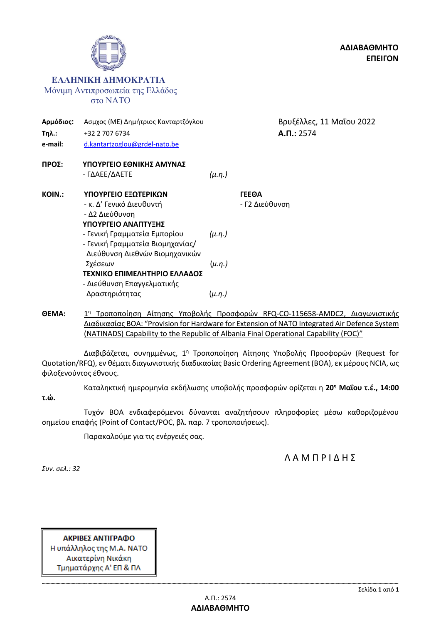

**ΘΕΜΑ:** 1 <sup>η</sup> Τροποποίηση Αίτησης Υποβολής Προσφορών RFQ-CO-115658-AMDC2, Διαγωνιστικής Διαδικασίας ΒΟΑ: "Provision for Hardware for Extension of NATO Integrated Air Defence System (NATINADS) Capability to the Republic of Albania Final Operational Capability (FOC)"

Διαβιβάζεται, συνημμένως, 1<sup>η</sup> Τροποποίηση Αίτησης Υποβολής Προσφορών (Request for Quotation/RFQ), εν θέματι διαγωνιστικής διαδικασίας Basic Ordering Agreement (BOA), εκ μέρους NCIA, ως φιλοξενούντος έθνους.

Καταληκτική ημερομηνία εκδήλωσης υποβολής προσφορών ορίζεται η **20<sup>η</sup> Μαΐου τ.έ., 14:00** 

**τ.ώ.**

Τυχόν ΒΟΑ ενδιαφερόμενοι δύνανται αναζητήσουν πληροφορίες μέσω καθοριζομένου σημείου επαφής (Point of Contact/POC, βλ. παρ. 7 τροποποιήσεως).

Παρακαλούμε για τις ενέργειές σας.

Λ Α Μ Π Ρ Ι Δ Η Σ

*Συν. σελ.: 32*

ΑΚΡΙΒΕΣ ΑΝΤΙΓΡΑΦΟ Η υπάλληλος της Μ.Α. ΝΑΤΟ Αικατερίνη Νικάκη Τμηματάρχης Α' ΕΠ & ΠΛ

**ΑΔΙΑΒΑΘΜΗΤΟ**

**ΕΠΕΙΓΟΝ**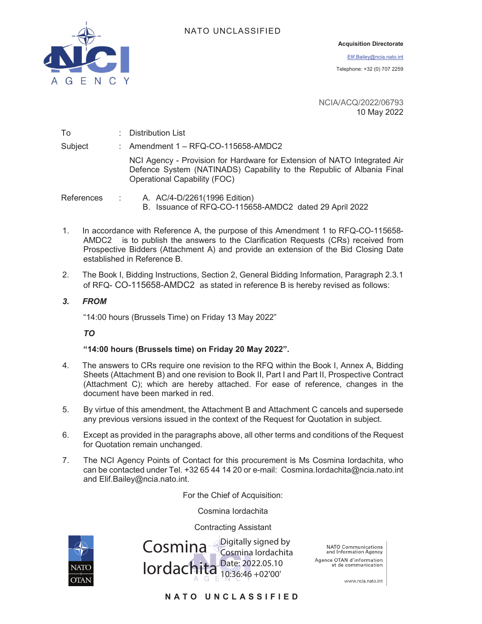



#### **Acquisition Directorate**

Elif.Bailey@ncia.nato.int

Telephone: +32 (0) 707 2259

NCIA/ACQ/2022/06793 10 May 2022

To : Distribution List Subject : Amendment 1 – RFQ-CO-115658-AMDC2 NCI Agency - Provision for Hardware for Extension of NATO Integrated Air Defence System (NATINADS) Capability to the Republic of Albania Final Operational Capability (FOC) References : A. AC/4-D/2261(1996 Edition) B. Issuance of RFQ-CO-115658-AMDC2 dated 29 April 2022

- 1. In accordance with Reference A, the purpose of this Amendment 1 to RFQ-CO-115658- AMDC2 is to publish the answers to the Clarification Requests (CRs) received from Prospective Bidders (Attachment A) and provide an extension of the Bid Closing Date established in Reference B.
- 2. The Book I, Bidding Instructions, Section 2, General Bidding Information, Paragraph 2.3.1 of RFQ- CO-115658-AMDC2 as stated in reference B is hereby revised as follows:
- *3. FROM*

"14:00 hours (Brussels Time) on Friday 13 May 2022"

*TO*

#### **"14:00 hours (Brussels time) on Friday 20 May 2022".**

- 4. The answers to CRs require one revision to the RFQ within the Book I, Annex A, Bidding Sheets (Attachment B) and one revision to Book II, Part I and Part II, Prospective Contract (Attachment C); which are hereby attached. For ease of reference, changes in the document have been marked in red.
- 5. By virtue of this amendment, the Attachment B and Attachment C cancels and supersede any previous versions issued in the context of the Request for Quotation in subject.
- 6. Except as provided in the paragraphs above, all other terms and conditions of the Request for Quotation remain unchanged.
- 7. The NCI Agency Points of Contact for this procurement is Ms Cosmina Iordachita, who can be contacted under Tel. +32 65 44 14 20 or e-mail: Cosmina.Iordachita@ncia.nato.int and Elif.Bailey@ncia.nato.int.

For the Chief of Acquisition:

Cosmina Iordachita

Contracting Assistant



Cosmina Iordachita Digitally signed by Cosmina Iordachita Date: 2022.05.10 10:36:46 +02'00'

NATO Communications<br>and Information Agency Agence OTAN d'information et de communication

www.ncia.nato.int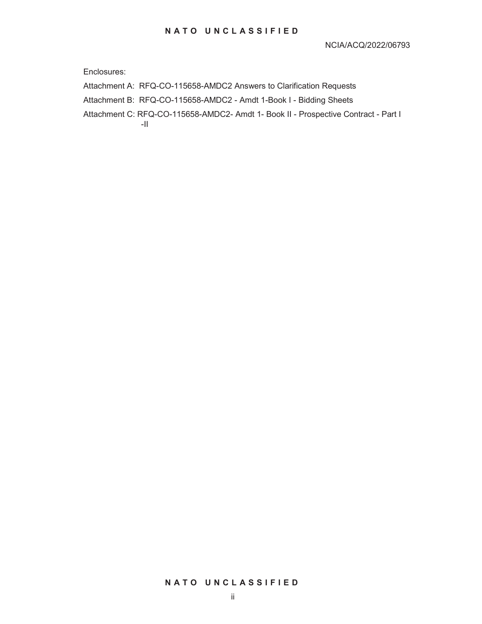Enclosures:

Attachment A: RFQ-CO-115658-AMDC2 Answers to Clarification Requests

Attachment B: RFQ-CO-115658-AMDC2 - Amdt 1-Book I - Bidding Sheets

Attachment C: RFQ-CO-115658-AMDC2- Amdt 1- Book II - Prospective Contract - Part I -II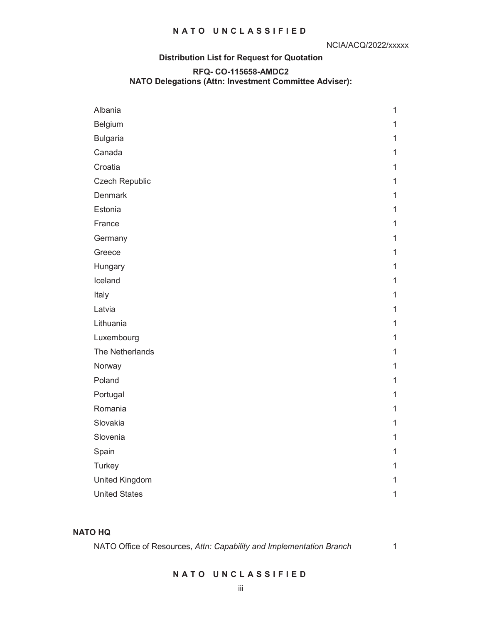## **Distribution List for Request for Quotation**

#### **RFQ- CO-115658-AMDC2**

#### **NATO Delegations (Attn: Investment Committee Adviser):**

| Albania              | $\mathbf{1}$ |
|----------------------|--------------|
| Belgium              | $\mathbf 1$  |
| <b>Bulgaria</b>      | $\mathbf 1$  |
| Canada               | $\mathbf 1$  |
| Croatia              | $\mathbf 1$  |
| Czech Republic       | $\mathbf 1$  |
| <b>Denmark</b>       | $\mathbf{1}$ |
| Estonia              | $\mathbf 1$  |
| France               | $\mathbf 1$  |
| Germany              | $\mathbf{1}$ |
| Greece               | $\mathbf 1$  |
| Hungary              | $\mathbf 1$  |
| Iceland              | $\mathbf 1$  |
| Italy                | $\mathbf 1$  |
| Latvia               | $\mathbf 1$  |
| Lithuania            | $\mathbf 1$  |
| Luxembourg           | $\mathbf 1$  |
| The Netherlands      | $\mathbf 1$  |
| Norway               | $\mathbf 1$  |
| Poland               | $\mathbf 1$  |
| Portugal             | $\mathbf 1$  |
| Romania              | $\mathbf 1$  |
| Slovakia             | $\mathbf 1$  |
| Slovenia             | $\mathbf 1$  |
| Spain                | $\mathbf{1}$ |
| Turkey               | $\mathbf 1$  |
| United Kingdom       | $\mathbf{1}$ |
| <b>United States</b> | $\mathbf 1$  |

#### **NATO HQ**

NATO Office of Resources, *Attn: Capability and Implementation Branch* 1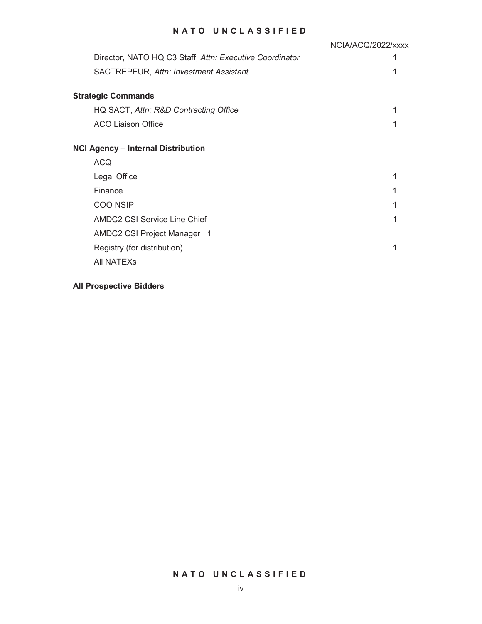|                                                         | NCIA/ACQ/2022/xxxx |
|---------------------------------------------------------|--------------------|
| Director, NATO HQ C3 Staff, Attn: Executive Coordinator |                    |
| SACTREPEUR, Attn: Investment Assistant                  |                    |
| <b>Strategic Commands</b>                               |                    |
| HQ SACT, Attn: R&D Contracting Office                   |                    |
| <b>ACO Liaison Office</b>                               |                    |
| <b>NCI Agency - Internal Distribution</b>               |                    |
| <b>ACQ</b>                                              |                    |
| Legal Office                                            |                    |
| Finance                                                 |                    |
| <b>COO NSIP</b>                                         |                    |
| <b>AMDC2 CSI Service Line Chief</b>                     |                    |
| AMDC2 CSI Project Manager 1                             |                    |
| Registry (for distribution)                             |                    |
| All NATEX <sub>s</sub>                                  |                    |

## **All Prospective Bidders**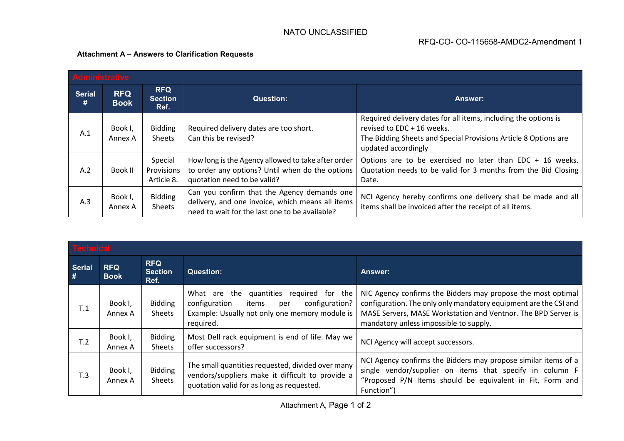# **Attachment A – Answers to Clarification Requests**

| <b>Administrative</b> |                           |                                      |                                                                                                                                                   |                                                                                                                                                                                         |
|-----------------------|---------------------------|--------------------------------------|---------------------------------------------------------------------------------------------------------------------------------------------------|-----------------------------------------------------------------------------------------------------------------------------------------------------------------------------------------|
| <b>Serial</b><br>#    | <b>RFQ</b><br><b>Book</b> | <b>RFQ</b><br><b>Section</b><br>Ref. | <b>Question:</b>                                                                                                                                  | <b>Answer:</b>                                                                                                                                                                          |
| A.1                   | Book I,<br>Annex A        | <b>Bidding</b><br>Sheets             | Required delivery dates are too short.<br>Can this be revised?                                                                                    | Required delivery dates for all items, including the options is<br>revised to EDC + 16 weeks.<br>The Bidding Sheets and Special Provisions Article 8 Options are<br>updated accordingly |
| A.2                   | Book II                   | Special<br>Provisions<br>Article 8.  | How long is the Agency allowed to take after order<br>to order any options? Until when do the options<br>quotation need to be valid?              | Options are to be exercised no later than EDC + 16 weeks.<br>Quotation needs to be valid for 3 months from the Bid Closing<br>Date.                                                     |
| A.3                   | Book I,<br>Annex A        | <b>Bidding</b><br>Sheets             | Can you confirm that the Agency demands one<br>delivery, and one invoice, which means all items<br>need to wait for the last one to be available? | NCI Agency hereby confirms one delivery shall be made and all<br>items shall be invoiced after the receipt of all items.                                                                |

| <b>Technical</b>   |                           |                                      |                                                                                                                                                               |                                                                                                                                                                                                                                             |
|--------------------|---------------------------|--------------------------------------|---------------------------------------------------------------------------------------------------------------------------------------------------------------|---------------------------------------------------------------------------------------------------------------------------------------------------------------------------------------------------------------------------------------------|
| <b>Serial</b><br># | <b>RFQ</b><br><b>Book</b> | <b>RFQ</b><br><b>Section</b><br>Ref. | <b>Question:</b>                                                                                                                                              | Answer:                                                                                                                                                                                                                                     |
| T.1                | Book I,<br>Annex A        | <b>Bidding</b><br>Sheets             | What are the quantities<br>required for the<br>configuration<br>configuration?<br>items<br>per<br>Example: Usually not only one memory module is<br>required. | NIC Agency confirms the Bidders may propose the most optimal<br>configuration. The only only mandatory equipment are the CSI and<br>MASE Servers, MASE Workstation and Ventnor. The BPD Server is<br>mandatory unless impossible to supply. |
| T.2                | Book I,<br>Annex A        | <b>Bidding</b><br><b>Sheets</b>      | Most Dell rack equipment is end of life. May we<br>offer successors?                                                                                          | NCI Agency will accept successors.                                                                                                                                                                                                          |
| T.3                | Book I,<br>Annex A        | <b>Bidding</b><br><b>Sheets</b>      | The small quantities requested, divided over many<br>vendors/suppliers make it difficult to provide a<br>quotation valid for as long as requested.            | NCI Agency confirms the Bidders may propose similar items of a<br>single vendor/supplier on items that specify in column F<br>"Proposed P/N Items should be equivalent in Fit, Form and<br>Function")                                       |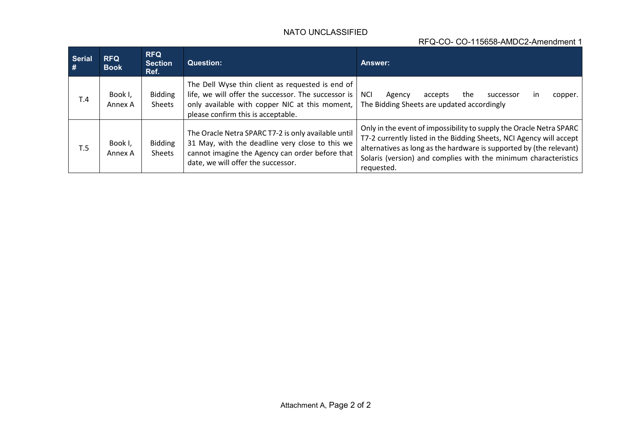# RFQ-CO- CO-115658-AMDC2-Amendment 1

| <b>Serial</b><br># | <b>RFQ</b><br><b>Book</b> | <b>RFQ</b><br><b>Section</b><br>Ref. | <b>Question:</b>                                                                                                                                                                                | Answer:                                                                                                                                                                                                                                                                                            |
|--------------------|---------------------------|--------------------------------------|-------------------------------------------------------------------------------------------------------------------------------------------------------------------------------------------------|----------------------------------------------------------------------------------------------------------------------------------------------------------------------------------------------------------------------------------------------------------------------------------------------------|
| T.4                | Book I,<br>Annex A        | <b>Bidding</b><br>Sheets             | The Dell Wyse thin client as requested is end of<br>life, we will offer the successor. The successor is<br>only available with copper NIC at this moment,<br>please confirm this is acceptable. | <b>NCI</b><br>the<br>accepts<br>Agency<br>successor<br>copper.<br>$\mathsf{I}$<br>The Bidding Sheets are updated accordingly                                                                                                                                                                       |
| T.5                | Book I,<br>Annex A        | <b>Bidding</b><br>Sheets             | The Oracle Netra SPARC T7-2 is only available until<br>31 May, with the deadline very close to this we<br>cannot imagine the Agency can order before that<br>date, we will offer the successor. | Only in the event of impossibility to supply the Oracle Netra SPARC<br>T7-2 currently listed in the Bidding Sheets, NCI Agency will accept<br>alternatives as long as the hardware is supported by (the relevant)<br>Solaris (version) and complies with the minimum characteristics<br>requested. |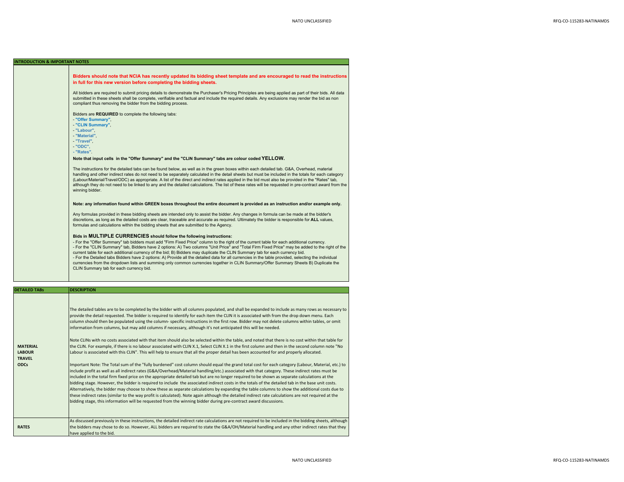#### **INTRODUCTION & IMPORTANT NOTES**

**DETAILED**

**Bidders should note that NCIA has recently updated its bidding sheet template and are encouraged to read the instructions in full for this new version before completing the bidding sheets.** All bidders are required to submit pricing details to demonstrate the Purchaser's Pricing Principles are being applied as part of their bids. All data submitted in these sheets shall be complete, verifiable and factual and include the required details. Any exclusions may render the bid as non compliant thus removing the bidder from the bidding process. Bidders are **REQUIRED** to complete the following tabs: - **"Offer Summary"**, - **"CLIN Summary"**, - **"Labour"**, - **"Material"**, - **"Travel"**, - **"ODC", - "Rates"**.**Note that input cells in the "Offer Summary" and the "CLIN Summary" tabs are colour coded YELLOW.** The instructions for the detailed tabs can be found below, as well as in the green boxes within each detailed tab. G&A, Overhead, material handling and other indirect rates do not need to be separately calculated in the detail sheets but must be included in the totals for each category (Labour/Material/Travel/ODC) as appropriate. A list of the direct and indirect rates applied in the bid must also be provided in the "Rates" tab, although they do not need to be linked to any and the detailed calculations. The list of these rates will be requested in pre-contract award from the winning bidder. **Note: any information found within GREEN boxes throughout the entire document is provided as an instruction and/or example only.** Any formulas provided in these bidding sheets are intended only to assist the bidder. Any changes in formula can be made at the bidder's discretions, as long as the detailed costs are clear, traceable and accurate as required. Ultimately the bidder is responsible for **ALL** values, formulas and calculations within the bidding sheets that are submitted to the Agency. **Bids in MULTIPLE CURRENCIES should follow the following instructions:**  - For the "Offer Summary" tab bidders must add "Firm Fixed Price" column to the right of the current table for each additional currency. - For the "CLIN Summary" tab, Bidders have 2 options: A) Two columns "Unit Price" and "Total Firm Fixed Price" may be added to the right of the current table for each additional currency of the bid; B) Bidders may duplicate the CLIN Summary tab for each currency bid. - For the Detailed tabs Bidders have 2 options: A) Provide all the detailed data for all currencies in the table provided, selecting the individual currencies from the dropdown lists and summing only common currencies together in CLIN Summary/Offer Summary Sheets B) Duplicate the CLIN Summary tab for each currency bid. **DESCRIPTION** 

| <b>MATERIAL</b><br><b>LABOUR</b><br><b>TRAVEL</b><br><b>ODCs</b> | The detailed tables are to be completed by the bidder with all columns populated, and shall be expanded to include as many rows as necessary to<br>provide the detail requested. The bidder is required to identify for each item the CLIN it is associated with from the drop down menu. Each<br>column should then be populated using the column- specific instructions in the first row. Bidder may not delete columns within tables, or omit<br>information from columns, but may add columns if necessary, although it's not anticipated this will be needed.<br>Note CLINs with no costs associated with that item should also be selected within the table, and noted that there is no cost within that table for<br>the CLIN. For example, if there is no labour associated with CLIN X.1, Select CLIN X.1 in the first column and then in the second column note "No<br>Labour is associated with this CLIN". This will help to ensure that all the proper detail has been accounted for and properly allocated.<br>Important Note: The Total sum of the "fully burdened" cost column should equal the grand total cost for each category (Labour, Material, etc.) to<br>include profit as well as all indirect rates (G&A/Overhead/Material handling/etc.) associated with that category. These indirect rates must be<br>included in the total firm fixed price on the appropriate detailed tab but are no longer required to be shown as separate calculations at the<br>bidding stage. However, the bidder is required to include the associated indirect costs in the totals of the detailed tab in the base unit costs.<br>Alternatively, the bidder may choose to show these as separate calculations by expanding the table columns to show the additional costs due to<br>these indirect rates (similar to the way profit is calculated). Note again although the detailed indirect rate calculations are not required at the<br>bidding stage, this information will be requested from the winning bidder during pre-contract award discussions. |
|------------------------------------------------------------------|---------------------------------------------------------------------------------------------------------------------------------------------------------------------------------------------------------------------------------------------------------------------------------------------------------------------------------------------------------------------------------------------------------------------------------------------------------------------------------------------------------------------------------------------------------------------------------------------------------------------------------------------------------------------------------------------------------------------------------------------------------------------------------------------------------------------------------------------------------------------------------------------------------------------------------------------------------------------------------------------------------------------------------------------------------------------------------------------------------------------------------------------------------------------------------------------------------------------------------------------------------------------------------------------------------------------------------------------------------------------------------------------------------------------------------------------------------------------------------------------------------------------------------------------------------------------------------------------------------------------------------------------------------------------------------------------------------------------------------------------------------------------------------------------------------------------------------------------------------------------------------------------------------------------------------------------------------------------------------------------------------------------------------------------------------------------|
| <b>RATES</b>                                                     | As discussed previously in these instructions, the detailed indirect rate calculations are not required to be included in the bidding sheets, although<br>the bidders may chose to do so. However, ALL bidders are required to state the G&A/OH/Material handling and any other indirect rates that they<br>have applied to the bid.                                                                                                                                                                                                                                                                                                                                                                                                                                                                                                                                                                                                                                                                                                                                                                                                                                                                                                                                                                                                                                                                                                                                                                                                                                                                                                                                                                                                                                                                                                                                                                                                                                                                                                                                |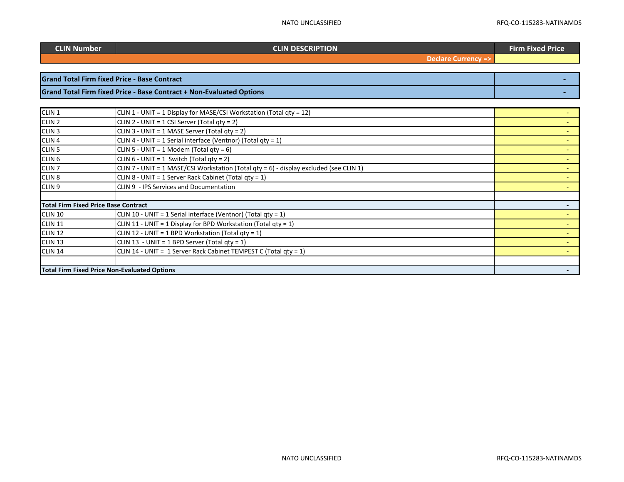**Fixed Price**

| CLIN Number |  |
|-------------|--|
|             |  |

#### **CLIN DESCRIPTION**

**Declare Currency =>**

| <b>Grand Total Firm fixed Price - Base Contract</b>                         |  |
|-----------------------------------------------------------------------------|--|
| <b>Grand Total Firm fixed Price - Base Contract + Non-Evaluated Options</b> |  |

| CLIN <sub>1</sub>                           | CLIN 1 - UNIT = 1 Display for MASE/CSI Workstation (Total qty = 12)                    |  |
|---------------------------------------------|----------------------------------------------------------------------------------------|--|
| CLIN <sub>2</sub>                           | CLIN 2 - UNIT = 1 CSI Server (Total qty = 2)                                           |  |
| CLIN <sub>3</sub>                           | CLIN 3 - UNIT = 1 MASE Server (Total qty = 2)                                          |  |
| CLIN <sub>4</sub>                           | CLIN 4 - UNIT = 1 Serial interface (Ventnor) (Total qty = 1)                           |  |
| CLIN <sub>5</sub>                           | CLIN 5 - UNIT = 1 Modem (Total qty = 6)                                                |  |
| CLIN <sub>6</sub>                           | CLIN $6 - UNIT = 1$ Switch (Total gty = 2)                                             |  |
| CLIN <sub>7</sub>                           | CLIN 7 - UNIT = 1 MASE/CSI Workstation (Total qty = 6) - display excluded (see CLIN 1) |  |
| CLIN <sub>8</sub>                           | CLIN 8 - UNIT = 1 Server Rack Cabinet (Total qty = 1)                                  |  |
| CLIN <sub>9</sub>                           | CLIN 9 - IPS Services and Documentation                                                |  |
|                                             |                                                                                        |  |
| <b>Total Firm Fixed Price Base Contract</b> |                                                                                        |  |
| <b>CLIN 10</b>                              | CLIN 10 - UNIT = 1 Serial interface (Ventnor) (Total qty = 1)                          |  |
| <b>CLIN 11</b>                              | CLIN 11 - UNIT = 1 Display for BPD Workstation (Total qty = 1)                         |  |
| <b>CLIN 12</b>                              | CLIN 12 - UNIT = 1 BPD Workstation (Total qty = 1)                                     |  |
| <b>CLIN 13</b>                              | CLIN 13 - UNIT = 1 BPD Server (Total gty = 1)                                          |  |
| <b>CLIN 14</b>                              | CLIN 14 - UNIT = 1 Server Rack Cabinet TEMPEST C (Total qty = 1)                       |  |
|                                             |                                                                                        |  |
|                                             | <b>Total Firm Fixed Price Non-Evaluated Options</b>                                    |  |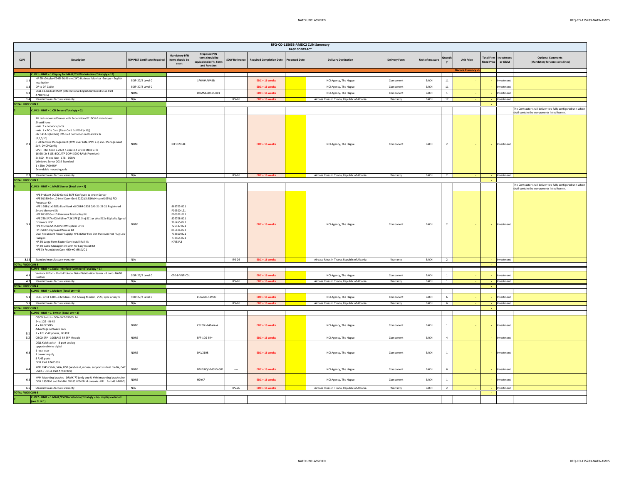|                           | RFQ-CO-115658-AMDC2 CLIN Summary                                                                                                                                                                                                                                                                                                                                                                                                                                                                                                                                                                                                                                                  |                                     |                                                                                                                                       |                                                                            |                      |                                 |                                              |                                              |                      |                 |                |                    |                                         |                   |                                                              |
|---------------------------|-----------------------------------------------------------------------------------------------------------------------------------------------------------------------------------------------------------------------------------------------------------------------------------------------------------------------------------------------------------------------------------------------------------------------------------------------------------------------------------------------------------------------------------------------------------------------------------------------------------------------------------------------------------------------------------|-------------------------------------|---------------------------------------------------------------------------------------------------------------------------------------|----------------------------------------------------------------------------|----------------------|---------------------------------|----------------------------------------------|----------------------------------------------|----------------------|-----------------|----------------|--------------------|-----------------------------------------|-------------------|--------------------------------------------------------------|
| <b>CLIN</b>               | <b>Description</b>                                                                                                                                                                                                                                                                                                                                                                                                                                                                                                                                                                                                                                                                | <b>TEMPEST Certificate Required</b> | <b>Mandatory P/N</b><br>Items should be<br>exact                                                                                      | Proposed P/N<br>Items should be<br>equivalent in Fit, Form<br>and Function | <b>SOW Reference</b> | <b>Required Completion Date</b> | <b>BASE CONTRACT</b><br><b>Proposed Date</b> | <b>Delivery Destination</b>                  | <b>Delivery Form</b> | Unit of measure | Duanti         | <b>Unit Price</b>  | <b>Total Firm</b><br><b>Fixed Price</b> | vestmer<br>or O&M | <b>Optional Comments</b><br>(Mandatory for zero costs lines) |
|                           | CLIN 1 - UNIT = 1 Display for MASE/CSI Workstation (Total qty = 12)                                                                                                                                                                                                                                                                                                                                                                                                                                                                                                                                                                                                               |                                     |                                                                                                                                       |                                                                            |                      |                                 |                                              |                                              |                      |                 |                | Declare Currency = |                                         |                   |                                                              |
| 1.1                       | HP EliteDisplay E243i 60,96 cm (24") Business Monitor -Europe - English                                                                                                                                                                                                                                                                                                                                                                                                                                                                                                                                                                                                           | SDIP-27/2 Level C                   |                                                                                                                                       | 1FH49AA#ABB                                                                |                      | EDC + 16 weeks                  |                                              | NCI Agency, The Hague                        | Component            | EACH            | $11\,$         |                    |                                         | nvestment         |                                                              |
| 1.2                       | localization<br>DP to DP Cable                                                                                                                                                                                                                                                                                                                                                                                                                                                                                                                                                                                                                                                    | SDIP-27/2 Level C                   |                                                                                                                                       |                                                                            |                      | EDC + 16 weeks                  |                                              | NCI Agency, The Hague                        | Component            | EACH            | 11             |                    |                                         | Investment        |                                                              |
| $1.3\,$                   | DELL 18.5in LED KMM (International English Keyboard DELL Part                                                                                                                                                                                                                                                                                                                                                                                                                                                                                                                                                                                                                     | NONE                                |                                                                                                                                       | DKMMLED185-001                                                             |                      | $EDC + 16$ weeks                |                                              | NCI Agency, The Hague                        | Component            | EACH            | $1$ $\,$       |                    |                                         | nvestment         |                                                              |
| 1.4                       | A7485906)<br>Standard manufacture warranty                                                                                                                                                                                                                                                                                                                                                                                                                                                                                                                                                                                                                                        | N/A                                 |                                                                                                                                       |                                                                            | $IPS-26$             | EDC + 16 weeks                  |                                              | Airbase Rinas in Tirana, Republic of Albania | Warranty             | EACH            | 12             |                    |                                         | Investment        |                                                              |
| <b>TOTAL PRICE CLIN 1</b> |                                                                                                                                                                                                                                                                                                                                                                                                                                                                                                                                                                                                                                                                                   |                                     |                                                                                                                                       |                                                                            |                      |                                 |                                              |                                              |                      |                 |                |                    |                                         |                   |                                                              |
|                           | CLIN 2 - UNIT = 1 CSI Server (Total qty = 2)                                                                                                                                                                                                                                                                                                                                                                                                                                                                                                                                                                                                                                      |                                     |                                                                                                                                       |                                                                            |                      |                                 |                                              |                                              |                      |                 |                |                    |                                         |                   | The Contractor shall deliver two fully configured unit which |
| 2.1                       | 1U rack mounted Server with Supermicro X11SCH-F main board.<br>Should have<br>-min. 2 x network ports<br>-min. 1 x PCIe Card (Riser Card 1x PCI-E (x16))<br>-8x SATA-3 (6 Gb/s) SW-Raid Controller on Board C232<br>(0.1.5.10)<br>-Full Remote Management (KVM over LAN, IPMI 2.0) incl. Management<br>Soft, DHCP Config<br>CPU : Intel Xeon E-2224 4-core 3.4 GHz 8 MB 8 GT/s<br>16 GB (2x 8 GB) ECC ATP DDR4 3200 RAM (Premium)<br>2x SSD - Mixed Use - 1TB - 6GB/s<br>Windows Server 2019 Standard<br>1 x Slim DVD+RW<br>Extendable mounting rails                                                                                                                             | <b>NONE</b>                         | RI1102H-XE                                                                                                                            |                                                                            |                      | EDC + 16 weeks                  |                                              | NCI Agency, The Hague                        | Component            | EACH            | $\overline{2}$ |                    | $\sim$                                  | Investment        | shall contain the components listed herein.                  |
| 2.2                       | Standard manufacture warranty                                                                                                                                                                                                                                                                                                                                                                                                                                                                                                                                                                                                                                                     | N/A                                 |                                                                                                                                       |                                                                            | <b>IPS-26</b>        | EDC + 16 weeks                  |                                              | Airbase Rinas in Tirana, Republic of Albania | Warranty             | EACH            | $\overline{2}$ |                    |                                         | Investment        |                                                              |
| <b>TOTAL PRICE CLIN 2</b> |                                                                                                                                                                                                                                                                                                                                                                                                                                                                                                                                                                                                                                                                                   |                                     |                                                                                                                                       |                                                                            |                      |                                 |                                              |                                              |                      |                 |                |                    |                                         |                   | The Contractor shall deliver two fully configured unit which |
|                           | CLIN 3 - UNIT = 1 MASE Server (Total qty = 2)                                                                                                                                                                                                                                                                                                                                                                                                                                                                                                                                                                                                                                     |                                     |                                                                                                                                       |                                                                            |                      |                                 |                                              |                                              |                      |                 |                |                    |                                         |                   | shall contain the components listed herein.                  |
| 3.1                       | HPE ProLiant DL380 Gen10 8SFF Configure-to-order Server<br>HPE DL380 Gen10 Intel Xeon-Gold 5222 (3.8GHz/4-core/105W) FIO<br>Processor Kit<br>HPE 16GB (1x16GB) Dual Rank x8 DDR4-2933 CAS-21-21-21 Registered<br>Smart Memory Kit<br>HPE DL38X Gen10 Universal Media Bay Kit<br>HPE 2TB SATA 6G Midline 7.2K SFF (2.5in) SC 1yr Wty 512e Digitally Signed<br>Firmware HDD<br>HPE 9.5mm SATA DVD-RW Optical Drive<br>HP USB US Keyboard/Mouse Kit<br>Dual Redundant Power Supply: HPE 800W Flex Slot Platinum Hot Plug Low<br>Halogen<br>HP 2U Large Form Factor Easy Install Rail Kit<br>HP 2U Cable Management Arm for Easy Install Kit<br>HPE 3Y Foundation Care NBD wDMR SVC 1 | <b>NONE</b>                         | 868703-B21<br>P02500-L21<br>P00922-B21<br>826708-B21<br>765455-B21<br>726537-B21<br>865414-R21<br>733660-B21<br>733664-B21<br>H7J33A3 |                                                                            |                      | EDC + 16 weeks                  |                                              | NCI Agency, The Hague                        | Component            | EACH            | $\overline{2}$ |                    |                                         | nvestmen          |                                                              |
|                           | 3.12 Standard manufacture warranty                                                                                                                                                                                                                                                                                                                                                                                                                                                                                                                                                                                                                                                | N/A                                 |                                                                                                                                       |                                                                            | $IPS-26$             | EDC + 16 weeks                  |                                              | Airbase Rinas in Tirana, Republic of Albania | Warranty             | EACH            | $\overline{2}$ |                    |                                         | Investment        |                                                              |
| <b>TOTAL PRICE CLIN 3</b> |                                                                                                                                                                                                                                                                                                                                                                                                                                                                                                                                                                                                                                                                                   |                                     |                                                                                                                                       |                                                                            |                      |                                 |                                              |                                              |                      |                 |                |                    |                                         |                   |                                                              |
|                           | CLIN 4 - UNIT = 1 Serial interface (Ventnor) (Total qty = 1)<br>Ventnor 8 Port - Multi-Protocol Data Distribution Server - 8 port - NATO                                                                                                                                                                                                                                                                                                                                                                                                                                                                                                                                          |                                     |                                                                                                                                       |                                                                            |                      |                                 |                                              |                                              |                      |                 |                |                    |                                         |                   |                                                              |
| 4.1                       | Custom                                                                                                                                                                                                                                                                                                                                                                                                                                                                                                                                                                                                                                                                            | SDIP-27/2 Level C                   | 070-8-VNT-C01                                                                                                                         |                                                                            |                      | $EDC + 16$ weeks                |                                              | NCI Agency, The Hague                        | Component            | EACH            | $\mathbf{1}$   |                    |                                         | vestment          |                                                              |
| 4.2                       | Standard manufacture warranty                                                                                                                                                                                                                                                                                                                                                                                                                                                                                                                                                                                                                                                     | N/A                                 |                                                                                                                                       |                                                                            | <b>IPS-26</b>        | $EDC + 16$ we                   |                                              | Airbase Rinas in Tirana, Republic of Albania | Warranty             | EACH            | $\overline{1}$ |                    |                                         | Investment        |                                                              |
| <b>TOTAL PRICE CLIN 4</b> | CLIN 5 - UNIT = 1 Modem (Total qty = 6)                                                                                                                                                                                                                                                                                                                                                                                                                                                                                                                                                                                                                                           |                                     |                                                                                                                                       |                                                                            |                      |                                 |                                              |                                              |                      |                 |                |                    |                                         |                   |                                                              |
| 5.1                       | DCB - Link1 TADIL-B Modem - FSK Analog Modem, V.23, Sync or Async                                                                                                                                                                                                                                                                                                                                                                                                                                                                                                                                                                                                                 | SDIP-27/2 Level C                   |                                                                                                                                       | L1TadilB-12VDC                                                             |                      | $EDC + 16$ weeks                |                                              | NCI Agency. The Hague                        | Component            | EACH            | 6              |                    |                                         | nvestment         |                                                              |
|                           | 5.5 Standard manufacture warranty                                                                                                                                                                                                                                                                                                                                                                                                                                                                                                                                                                                                                                                 | N/A                                 |                                                                                                                                       |                                                                            | $IPS-26$             | $EDC + 16$ weeks                |                                              | Airbase Rinas in Tirana, Republic of Albania | Warranty             | EACH            | 6              |                    |                                         | Investment        |                                                              |
| <b>TOTAL PRICE CLIN 5</b> |                                                                                                                                                                                                                                                                                                                                                                                                                                                                                                                                                                                                                                                                                   |                                     |                                                                                                                                       |                                                                            |                      |                                 |                                              |                                              |                      |                 |                |                    |                                         |                   |                                                              |
|                           | CLIN 6 - UNIT = 1 Switch (Total qty = 2)                                                                                                                                                                                                                                                                                                                                                                                                                                                                                                                                                                                                                                          |                                     |                                                                                                                                       |                                                                            |                      |                                 |                                              |                                              |                      |                 |                |                    |                                         |                   |                                                              |
|                           | CISCO Switch - CON-SNT-C9200L24<br>24 x 1GE - RJ-45<br>4 x 10 GE SFP+<br>Advantage software pack<br>2 x 125 V AC power, NO PoE                                                                                                                                                                                                                                                                                                                                                                                                                                                                                                                                                    | <b>NONE</b>                         |                                                                                                                                       | C9200L-24T-4X-A                                                            |                      | EDC + 16 weeks                  |                                              | NCI Agency, The Hague                        | Component            | EACH            | $\overline{1}$ |                    |                                         | Investment        |                                                              |
| 6.2                       | CISCO SFP - 10GBASE-SR SFP Module                                                                                                                                                                                                                                                                                                                                                                                                                                                                                                                                                                                                                                                 | NONE                                |                                                                                                                                       | $SFP-10G-SR=$                                                              | $\cdots$             | EDC + 16 weeks                  |                                              | NCI Agency, The Hague                        | Component            | EACH            | $\overline{a}$ |                    |                                         | Investment        |                                                              |
|                           | DELL KVM switch - 8-port analog<br>upgradeable to digital<br>1 local user<br>1 power supply<br>8 RJ45 ports<br>DELL Part A7485895                                                                                                                                                                                                                                                                                                                                                                                                                                                                                                                                                 | NONE                                |                                                                                                                                       | DAV2108                                                                    |                      | EDC + 16 weeks                  |                                              | NCI Agency, The Hague                        | Component            | EACH            | $1\,$          |                    |                                         | nvestment         |                                                              |
| 6.4                       | KVM RJ45 Cable, VGA, USB (keyboard, mouse, supports virtual media, CAC<br>USB2.0 - DELL Part A7485901)                                                                                                                                                                                                                                                                                                                                                                                                                                                                                                                                                                            | <b>NONE</b>                         |                                                                                                                                       | DMPUIQ-VMCHS-G01                                                           | $\sim$               | EDC + 16 weeks                  |                                              | NCI Agency, The Hague                        | Component            | EACH            | 6              |                    |                                         | westment          |                                                              |
|                           | KVM Mounting bracket - DRMK-77 (only one U KVM mounting bracket for<br>DELL 185FPM and DKMMLED185 LED KMM console - DELL Part 481-BBBD)                                                                                                                                                                                                                                                                                                                                                                                                                                                                                                                                           | <b>NONE</b>                         |                                                                                                                                       | HDYCF                                                                      | $\sim$               | $EDC + 16$ weeks                |                                              | NCI Agency, The Hague                        | Component            | EACH            | $\overline{1}$ |                    |                                         | Investment        |                                                              |
| 6.6                       | Standard manufacture warranty                                                                                                                                                                                                                                                                                                                                                                                                                                                                                                                                                                                                                                                     | N/A                                 |                                                                                                                                       |                                                                            | $IPS-26$             | EDC + 16 weeks                  |                                              | Airbase Rinas in Tirana, Republic of Albania | Warranty             | EACH            | $\overline{2}$ |                    |                                         | Investment        |                                                              |
| <b>TOTAL PRICE CUN 6</b>  | CLIN 7 - UNIT = 1 MASE/CSI Workstation (Total qty = 6) - display excluded                                                                                                                                                                                                                                                                                                                                                                                                                                                                                                                                                                                                         |                                     |                                                                                                                                       |                                                                            |                      |                                 |                                              |                                              |                      |                 |                |                    |                                         |                   |                                                              |
|                           | (see CLIN 1)                                                                                                                                                                                                                                                                                                                                                                                                                                                                                                                                                                                                                                                                      |                                     |                                                                                                                                       |                                                                            |                      |                                 |                                              |                                              |                      |                 |                |                    |                                         |                   |                                                              |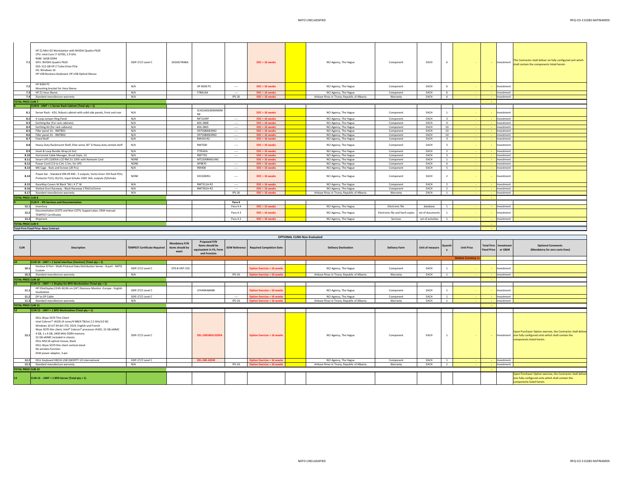| 71                        | HP Z2 Mini G5 Workstation with NVIDIA Quadro P620<br>CPU: Intel Core i7-10700, 2.9 GHz<br>RAM: 16GB DDR4<br>GPU: NVIDIA Quadro P620<br>SSD: 512-GB HP Z Turbo Drive PCIe<br>OS: Windows 10<br>HP USB Business Keyboard, HP USB Optical Mouse | SDIP-27/2 Level C | 2X3JOUT#ABA           |               | EDC + 16 weeks   | NCI Agency, The Hague                        | Component                       | EACH                |                         | <b>A</b> | <b>Service</b> | Investment | The Contractor shall deliver six fully configured unit which<br>shall contain the components listed herein |
|---------------------------|----------------------------------------------------------------------------------------------------------------------------------------------------------------------------------------------------------------------------------------------|-------------------|-----------------------|---------------|------------------|----------------------------------------------|---------------------------------|---------------------|-------------------------|----------|----------------|------------|------------------------------------------------------------------------------------------------------------|
|                           | <b>HP B300 PC</b><br>Mounting bracket for Vesa Sleeve                                                                                                                                                                                        | N/A               | <b>HP B300 PC</b>     | $\sim$        | $EDC + 16$ weeks | NCI Agency, The Hague                        | Component                       | EACH                | 6                       | $\sim$   | $\sim$         | Investment |                                                                                                            |
| 7.3                       | HP Z2 Vesa Sleeve                                                                                                                                                                                                                            | N/A               | Y7B61AA               | $\sim$        | EDC + 16 weeks   | NCI Agency, The Hague                        | Component                       | EACH                | 6                       |          | $\sim$         | Investment |                                                                                                            |
|                           | 7.4 Standard manufacture warranty                                                                                                                                                                                                            | N/A               |                       | $IPS-26$      | EDC + 16 weeks   | Airbase Rinas in Tirana, Republic of Albania | Warranty                        | EACH                | 6                       |          | <b>Service</b> | Investment |                                                                                                            |
| <b>TOTAL PRICE CLIN 7</b> |                                                                                                                                                                                                                                              |                   |                       |               |                  |                                              |                                 |                     |                         |          | <b>College</b> |            |                                                                                                            |
|                           | CLIN 8 - UNIT = 1 Server Rack Cabinet (Total qty = 1)                                                                                                                                                                                        |                   |                       |               |                  |                                              |                                 |                     |                         |          |                |            |                                                                                                            |
| 8.1                       | Server Rack - 42U, Robust cabinet with solid side panels, front and rear                                                                                                                                                                     | N/A               | SC42U60100SMMSM<br>NK |               | $EDC + 16$ weeks | NCI Agency, The Hague                        | Component                       | EACH                |                         |          |                | Investment |                                                                                                            |
|                           | 8.2 4-Loop Jumper Ring Panel                                                                                                                                                                                                                 | N/A               | RKT14JRP              | $\sim$        | $EDC + 16$ weeks | NCI Agency, The Hague                        | Component                       | EACH                | $\overline{\mathbf{3}}$ |          |                | Investment |                                                                                                            |
| 8.3                       | Earthing Bar (For rack cabinets)                                                                                                                                                                                                             | N/A               | 826-2868              | $\sim$        | $EDC + 16$ weeks | NCI Agency, The Hague                        | Component                       | EACH                | $\sim$                  |          | $\sim$         | Investment |                                                                                                            |
| 8.4                       | Earthing Kit (for rack cabinets)                                                                                                                                                                                                             | N/A               | 826-2865              | $\sim$        | EDC + 16 weeks   | NCI Agency, The Hague                        | Component                       | EACH                | 10                      | - 1      | <b>Section</b> | Investment |                                                                                                            |
| 8.5                       | Filler panel 1U - RMTB01                                                                                                                                                                                                                     | N/A               | 5975SB0063962         | $\sim$        | $EDC + 16$ weeks | NCI Agency, The Hague                        | Component                       | EACH                | 10                      |          |                | Investment |                                                                                                            |
| 8.6                       | Filler panel 2U - RMTB02                                                                                                                                                                                                                     | N/A               | 5975SB0063963         | $\sim$        | $EDC + 16$ weeks | NCI Agency, The Hague                        | Component                       | EACH                | 10                      |          | <b>Section</b> | Investment |                                                                                                            |
| 8.7                       | <b>Fixed Shelf</b>                                                                                                                                                                                                                           | N/A               | RM410-R2              | $\sim$        | $EDC + 16$ weeks | NCI Agency, The Hague                        | Component                       | EACH                | $\mathbf{R}$            |          |                | Investment |                                                                                                            |
| 8.8                       | Heavy-Duty Rackmount Shelf, Elite series 30" D Heavy duty vented shelf                                                                                                                                                                       | N/A               | RMTS00                | $\sim$        | $EDC + 16$ weeks | NCI Agency, The Hague                        | Component                       | EACH                | $\mathbf{R}$            |          |                | Investment |                                                                                                            |
| 8.9                       | Hook & Loop Bundle Wrap (4.5m)                                                                                                                                                                                                               | N/A               | FT9545A               | $\sim$        | $EDC + 16$ weeks | NCI Agency, The Hague                        | Component                       | EACH                | $\overline{2}$          |          | <b>A</b>       | Investment |                                                                                                            |
| 8.10                      | Horizontal Cable Manager, Brush Style, 1U                                                                                                                                                                                                    | N/A               | <b>RMT701</b>         | $\sim$        | $EDC + 16$ weeks | NCI Agency, The Hague                        | Component                       | EACH                | $\overline{\mathbf{3}}$ |          | <b>A</b>       | Investment |                                                                                                            |
| 8.11                      | Smart-UPS 2200VA LCD RM 2U 230V with Network Card                                                                                                                                                                                            | <b>NONE</b>       | MT2200RMI2UNC         |               | EDC + 16 weeks   | NCI Agency, The Hague                        | Component                       | EACH                | $\overline{1}$          |          |                | Investment |                                                                                                            |
| 8.12                      | Power Cord C13 to C14, 2.5m, for UPS                                                                                                                                                                                                         | <b>NONE</b>       | AP9870                | $\sim$        | EDC + 16 weeks   | NCI Agency, The Hague                        | Component                       | EACH                | 6                       |          | $\sim$         | Investment |                                                                                                            |
|                           | 8.13 M6 Cage - Nuts and Screws (20 Pcs)                                                                                                                                                                                                      | N/A               | <b>RM408</b>          | $\sim$        | EDC + 16 weeks   | NCI Agency, The Hague                        | Component                       | EACH                | 5                       |          | <b>Section</b> | Investment |                                                                                                            |
| 8.14                      | Power bar - Standard DIN 49 440 - 5 outputs, Vertiv Knürr DIS Rack PDU,<br>Protector FI/LS, 0U/1U, input Schuko 230V 16A, outputs (5)Schuko                                                                                                  | NONE              | 033100051             | $\sim$        | EDC + 16 weeks   | NCI Agency, The Hague                        | Component                       | EACH                | $\overline{2}$          | $\sim$   | $\sim$         | Investment |                                                                                                            |
| 8.15                      | RaceWay Covers W Black "66 L X 2" W                                                                                                                                                                                                          | N/A               | RMT311A-R2            | $\sim$        | $EDC + 16$ weeks | NCI Agency, The Hague                        | Component                       | EACH                | $\overline{2}$          |          |                | Investment |                                                                                                            |
| 8.16                      | Slotted-Duct Raceway - Black Raceway 170x51x51mm                                                                                                                                                                                             | N/A               | RMT301A-R2            | $\sim$        | $EDC + 16$ weeks | NCI Agency, The Hague                        | Component                       | EACH                | $\overline{2}$          |          |                | Investment |                                                                                                            |
|                           | 8.17 Standard manufacture warranty                                                                                                                                                                                                           | N/A               |                       | <b>IPS-26</b> | EDC + 16 weeks   | Airbase Rinas in Tirana, Republic of Albania | Warranty                        | EACH                | $\overline{1}$          |          |                | Investment |                                                                                                            |
| <b>TOTAL PRICE CLIN 8</b> |                                                                                                                                                                                                                                              |                   |                       |               |                  |                                              |                                 |                     |                         |          |                |            |                                                                                                            |
|                           | <b>CLIN 9 - IPS Services and Documentation</b>                                                                                                                                                                                               |                   |                       | Para 4        |                  |                                              |                                 |                     |                         |          |                |            |                                                                                                            |
|                           | 12.1 Inventory                                                                                                                                                                                                                               |                   |                       | Para 4.4      | EDC + 13 weeks   | NCI Agency, The Hague                        | Flectronic file                 | database            | $\overline{1}$          |          | <b>Service</b> | Investment |                                                                                                            |
| 12.2                      | Documentation (COTS and Non-COTS; Support plan; OEM manual;<br><b>TEMPEST Certificate)</b>                                                                                                                                                   |                   |                       | Para 4.3      | EDC + 16 weeks   | NCI Agency, The Hague                        | Electronic file and hard copies | set of documents    | $\overline{1}$          |          |                | Investment |                                                                                                            |
|                           | 12.3 Shipment                                                                                                                                                                                                                                |                   |                       | Para 4.2      | EDC + 16 weeks   | NCI Agency, The Hague                        | Services                        | set of activities 1 |                         |          | $\sim$         | Investment |                                                                                                            |
| <b>TOTAL PRICE CLIN 9</b> |                                                                                                                                                                                                                                              |                   |                       |               |                  |                                              |                                 |                     |                         |          | <b>Section</b> |            |                                                                                                            |
|                           | <b>Total Firm Fixed Price-Base Contract</b>                                                                                                                                                                                                  |                   |                       |               |                  |                                              |                                 |                     |                         |          | $\sim$         |            |                                                                                                            |
|                           |                                                                                                                                                                                                                                              |                   |                       |               |                  |                                              |                                 |                     |                         |          |                |            |                                                                                                            |

|                            | <b>OPTIONAL CLINS-Non-Evaluated</b>                                                                                                                                                                                                                                                                                                                                                                                                |                                     |                                           |                                                                             |               |                                        |  |                                              |                      |                 |                |                          |                                                    |            |                                                                                                                                                           |
|----------------------------|------------------------------------------------------------------------------------------------------------------------------------------------------------------------------------------------------------------------------------------------------------------------------------------------------------------------------------------------------------------------------------------------------------------------------------|-------------------------------------|-------------------------------------------|-----------------------------------------------------------------------------|---------------|----------------------------------------|--|----------------------------------------------|----------------------|-----------------|----------------|--------------------------|----------------------------------------------------|------------|-----------------------------------------------------------------------------------------------------------------------------------------------------------|
| <b>CLIN</b>                | <b>Description</b>                                                                                                                                                                                                                                                                                                                                                                                                                 | <b>TEMPEST Certificate Required</b> | Mandatory P/N<br>Items should be<br>exact | Proposed P/N<br>Items should be<br>equivaalent in Fit, Form<br>and Function |               | SOW Reference Required Completion Date |  | <b>Delivery Destination</b>                  | <b>Delivery Form</b> | Unit of measure | Quantit        | <b>Unit Price</b>        | <b>Total Firm Investment</b><br><b>Fixed Price</b> | or O&M     | <b>Optional Comments</b><br>(Mandatory for zero costs lines)                                                                                              |
|                            |                                                                                                                                                                                                                                                                                                                                                                                                                                    |                                     |                                           |                                                                             |               |                                        |  |                                              |                      |                 |                | <b>Declare Currency:</b> |                                                    |            |                                                                                                                                                           |
|                            | <b>CLIN 10 - UNIT = 1 Serial interface (Ventnor) (Total gty = 1)</b>                                                                                                                                                                                                                                                                                                                                                               |                                     |                                           |                                                                             |               |                                        |  |                                              |                      |                 |                |                          |                                                    |            |                                                                                                                                                           |
| 10.1                       | Ventnor 8 Port - Multi-Protocol Data Distribution Server - 8 port - NATO<br>Custom                                                                                                                                                                                                                                                                                                                                                 | SDIP-27/2 Level C                   | 070-8-VNT-C01                             |                                                                             |               | <b>Option Exercise + 16 weeks</b>      |  | NCI Agency, The Hague                        | Component            | EACH            |                |                          |                                                    | Investment |                                                                                                                                                           |
| 10.2                       | Standard manufacture warranty                                                                                                                                                                                                                                                                                                                                                                                                      | N/A                                 |                                           |                                                                             | <b>IPS-26</b> | <b>Option Exercise + 16 weeks</b>      |  | Airbase Rinas in Tirana, Republic of Albania | Warranty             | EACH            |                |                          | $\sim$                                             | Investment |                                                                                                                                                           |
| <b>TOTAL PRICE CLIN 10</b> |                                                                                                                                                                                                                                                                                                                                                                                                                                    |                                     |                                           |                                                                             |               |                                        |  |                                              |                      |                 |                |                          |                                                    |            |                                                                                                                                                           |
|                            | <b>CLIN 11 - UNIT = 1 Display for BPD Workstation (Total qty = 1)</b>                                                                                                                                                                                                                                                                                                                                                              |                                     |                                           |                                                                             |               |                                        |  |                                              |                      |                 |                |                          |                                                    |            |                                                                                                                                                           |
| 11.1                       | HP EliteDisplay E243i 60,96 cm (24") Business Monitor -Europe - English<br>localization                                                                                                                                                                                                                                                                                                                                            | SDIP-27/2 Level C                   |                                           | 1FH49AA#ABB                                                                 |               | <b>Option Exercise + 16 weeks</b>      |  | NCI Agency, The Hague                        | Component            | EACH            |                |                          |                                                    | Investment |                                                                                                                                                           |
| 11.2                       | DP to DP Cable                                                                                                                                                                                                                                                                                                                                                                                                                     | SDIP-27/2 Level C                   |                                           |                                                                             | $\sim$        | <b>Option Exercise + 16 weeks</b>      |  | NCI Agency, The Hague                        | Component            | EACH            | $\overline{1}$ |                          |                                                    | Investment |                                                                                                                                                           |
| 11.3                       | Standard manufacture warranty                                                                                                                                                                                                                                                                                                                                                                                                      | N/A                                 |                                           |                                                                             | <b>IPS-26</b> | <b>Option Exercise + 16 weeks</b>      |  | Airbase Rinas in Tirana, Republic of Albania | Warranty             | EACH            |                |                          |                                                    | Investment |                                                                                                                                                           |
| <b>TOTAL PRICE CLIN 11</b> |                                                                                                                                                                                                                                                                                                                                                                                                                                    |                                     |                                           |                                                                             |               |                                        |  |                                              |                      |                 |                |                          |                                                    |            |                                                                                                                                                           |
|                            | <b>CLIN 12 - UNIT = 1 BPD Workstation (Total gty = 1)</b>                                                                                                                                                                                                                                                                                                                                                                          |                                     |                                           |                                                                             |               |                                        |  |                                              |                      |                 |                |                          |                                                    |            |                                                                                                                                                           |
| 12.2                       | DELL Wyse 5070 Thin Client<br>Intel Celeron™ J4105 (4 cores/4 MB/4 TB/tot 2.5 GHz/10 W)<br>Windows 10 IoT 64-bit LTSC 2019, English and French<br>Wyse 5070 thin client, Intel® Celeron® processor J4105, 32 GB eMMC<br>4 GB, 1 x 4 GB, 2400 MHz DDR4 memory<br>32 GB eMMC included in chassis<br>DELL MS116 optical mouse, black<br>DELL Wyse 5070 thin client vertical stand<br>No wireless function<br>65W power adapter, 3-pin | SDIP-27/2 Level C                   |                                           | DEL-1001805132054                                                           |               | <b>Option Exercise + 16 weeks</b>      |  | NCI Agency, The Hague                        | Component            | EACH            |                |                          |                                                    |            | Upon Purchaser Option exercise, the Contractor shall delive<br>Investment one fully configured units which shall contain the<br>components listed herein. |
|                            | 12.2 DELL Keyboard KB216 USB OWERTY US International                                                                                                                                                                                                                                                                                                                                                                               | SDIP-27/2 Level C                   |                                           | DEL-580-ADHK                                                                |               | Option Exercise + 16 weeks             |  | NCI Agency, The Hague                        | Component            | EACH            | $\overline{1}$ |                          |                                                    | Investment |                                                                                                                                                           |
| 12.3                       | Standard manufacture warranty                                                                                                                                                                                                                                                                                                                                                                                                      | N/A                                 |                                           |                                                                             | $IPS-26$      | Option Exercise + 16 weeks             |  | Airbase Rinas in Tirana, Republic of Albania | Warranty             | EACH            | $\overline{1}$ |                          |                                                    | Investment |                                                                                                                                                           |
| <b>TOTAL PRICE CLIN 12</b> |                                                                                                                                                                                                                                                                                                                                                                                                                                    |                                     |                                           |                                                                             |               |                                        |  |                                              |                      |                 |                |                          |                                                    |            |                                                                                                                                                           |
| 13                         | CLIN 13 - UNIT = 1 BPD Server (Total qty = 1)                                                                                                                                                                                                                                                                                                                                                                                      |                                     |                                           |                                                                             |               |                                        |  |                                              |                      |                 |                |                          |                                                    |            | Upon Purchaser Option exercise, the Contractor shall delive<br>one fully configured units which shall contain the<br>components listed herein.            |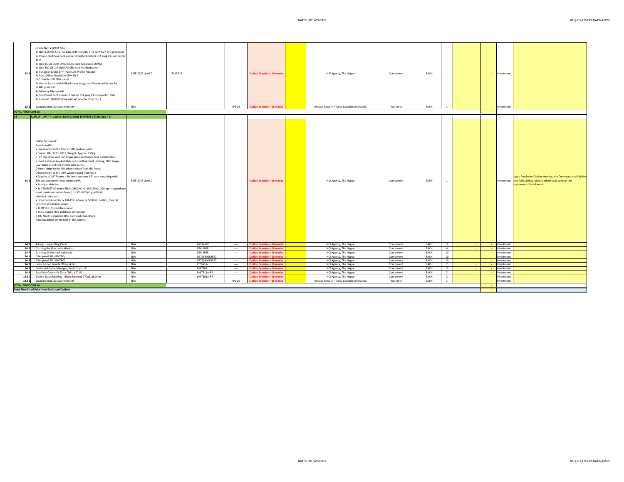| 13.1                       | Oracle Netra SPARC S7-2<br>1x Netra SPARC S7-2: AC base with 1 SPARC S7 8 core 4.27 GHz processor<br>2x Power cord: Sun Rack jumper straight 3 meters C14 plug C13 connector<br>15 A<br>4x One 16 GB DDR4-2400 single-rank registered DIMM<br>2x One 800 GB 2.5 inch SAS SSD with Marlin Bracket<br>1x Sun Dual 10GbE SFP+ PCIe Low Profile Adapter<br>2x Sun 10Gbps Dual Rate SFP+ SR 2<br>6x 2.5-inch HDD filler panel<br>1x Oracle Solaris with fallback-boot image and Oracle VM Server for<br>SPARC preinstall<br>4x Memory filler panels<br>1x Sun Power cord Jumper 2 meters C14 plug C13 connector, 10A<br>1x External USB DVD drive with AC adapter Prod Cat: L                                                                                                                                                                                                                                                                                                                                                                                              | SDIP-27/2 Level C        | 7113613        |                | <b>Option Exercise + 16 weeks</b>                                      | NCI Agency, The Hague                          | Component              | EACH         |                         | $\sim$ | Investment |                                                                                                                                                             |
|----------------------------|-----------------------------------------------------------------------------------------------------------------------------------------------------------------------------------------------------------------------------------------------------------------------------------------------------------------------------------------------------------------------------------------------------------------------------------------------------------------------------------------------------------------------------------------------------------------------------------------------------------------------------------------------------------------------------------------------------------------------------------------------------------------------------------------------------------------------------------------------------------------------------------------------------------------------------------------------------------------------------------------------------------------------------------------------------------------------|--------------------------|----------------|----------------|------------------------------------------------------------------------|------------------------------------------------|------------------------|--------------|-------------------------|--------|------------|-------------------------------------------------------------------------------------------------------------------------------------------------------------|
|                            | 13.2 Standard manufacture warranty                                                                                                                                                                                                                                                                                                                                                                                                                                                                                                                                                                                                                                                                                                                                                                                                                                                                                                                                                                                                                                    | N/A                      |                | <b>IPS-26</b>  | <b>Option Exercise + 16 weeks</b>                                      | Airbase Rinas in Tirana, Republic of Albania   | Warranty               | EACH         | <sup>1</sup>            |        | Investment |                                                                                                                                                             |
| <b>TOTAL PRICE CLIN 13</b> |                                                                                                                                                                                                                                                                                                                                                                                                                                                                                                                                                                                                                                                                                                                                                                                                                                                                                                                                                                                                                                                                       |                          |                |                |                                                                        |                                                |                        |              |                         |        |            |                                                                                                                                                             |
| 14                         | CLIN 14 - UNIT = 1 Server Rack Cabinet TEMPEST C (Total qty = 1)                                                                                                                                                                                                                                                                                                                                                                                                                                                                                                                                                                                                                                                                                                                                                                                                                                                                                                                                                                                                      |                          |                |                |                                                                        |                                                |                        |              |                         |        |            |                                                                                                                                                             |
| 14.1                       | SDIP-27/2 Level C<br>Based on 42U<br>· Dimensions: 800 x 2057 x 1000 (wxhxd) 42HE<br>· Colour: RAL 7035, 7021, Weight: Approx. 150kg<br>. Fan top cover with 3x temperature-controlled fans & Dust filters<br>. Front and rear key-lockable doors with 4-point latching, 180° hinge,<br>lever handle and screw-fixed side panels.<br>O front: hinge to the left when viewed from the front.<br>O back: hinge to the right when viewed from back<br>. 2x pairs of 19" frames - for front and rear 19" rack-mounting with<br>30x sets equipment mounting screws.<br>· 4x adjustable feet<br>• 1x TEMPEST AC mains filter, 230VAC +/- 10% 50Hz, 10Amp - singlephase<br>input. [main and redundancy]. 1x SCHUKO plug with 3m<br>shielded cable each.<br>. Filter connected to 1x 10A PDU of min 9x SCHUKO outlets; Central<br>Earthing [grounding] point.<br>· TEMPEST I/O interface panel:<br>o 6x LC duplex fibre bulkhead connectors<br>o 10x Neutrik shielded RJ45 bulkhead connectors<br>Interface panel on the roof of the cabinet<br>14.2 4-Loop Jumper Ring Panel | SDIP-27/2 Level C<br>N/A | RKT14JRP       | $\sim$         | <b>Option Exercise + 16 weeks</b><br><b>Option Exercise + 16 weeks</b> | NCI Agency, The Hague<br>NCI Agency, The Hague | Component<br>Component | EACH<br>EACH | $\overline{\mathbf{3}}$ |        | Investment | Upon Purchaser Option exercise, the Contractor shall deliver<br>- Investment one fully configured unit which shall contain the<br>components listed herein. |
| 14.3                       | Earthing Bar (For rack cabinets)                                                                                                                                                                                                                                                                                                                                                                                                                                                                                                                                                                                                                                                                                                                                                                                                                                                                                                                                                                                                                                      | N/A                      | 826-2868       | $\sim$         | <b>Option Exercise + 16 weeks</b>                                      | NCI Agency, The Hague                          | Component              | EACH         | $\sim$                  |        | Investment |                                                                                                                                                             |
| 14.4                       | Earthing Kit (for rack cabinets)                                                                                                                                                                                                                                                                                                                                                                                                                                                                                                                                                                                                                                                                                                                                                                                                                                                                                                                                                                                                                                      | N/A                      | 826-2865       | $\sim$         | <b>Option Exercise + 16 weeks</b>                                      | NCI Agency, The Hague                          | Component              | EACH         | 10                      |        | Investment |                                                                                                                                                             |
|                            | 14.5 Filler panel 1U - RMTB01                                                                                                                                                                                                                                                                                                                                                                                                                                                                                                                                                                                                                                                                                                                                                                                                                                                                                                                                                                                                                                         | N/A                      | 5975SB0063962  | <b>Service</b> | <b>Option Exercise + 16 weeks</b>                                      | NCI Agency, The Hague                          | Component              | EACH         | 10                      |        | Investment |                                                                                                                                                             |
| 14.6                       | Filler panel 2U - RMTB02                                                                                                                                                                                                                                                                                                                                                                                                                                                                                                                                                                                                                                                                                                                                                                                                                                                                                                                                                                                                                                              | N/A                      | 5975SB0063963  | $\sim$         | <b>Option Exercise + 16 weeks</b>                                      | NCI Agency, The Hague                          | Component              | EACH         | 10                      |        | Investment |                                                                                                                                                             |
| 14.7                       | Hook & Loop Bundle Wrap (4.5m)                                                                                                                                                                                                                                                                                                                                                                                                                                                                                                                                                                                                                                                                                                                                                                                                                                                                                                                                                                                                                                        | N/A                      | <b>FT9545A</b> | $\sim$         | <b>Option Exercise + 16 weeks</b>                                      | NCI Agency, The Hague                          | Component              | EACH         | 2                       |        | Investment |                                                                                                                                                             |
| 14.8                       | Horizontal Cable Manager, Brush Style, 1U                                                                                                                                                                                                                                                                                                                                                                                                                                                                                                                                                                                                                                                                                                                                                                                                                                                                                                                                                                                                                             | N/A                      | <b>RMT701</b>  | $\sim$         | <b>Option Exercise + 16 weeks</b>                                      | NCI Agency, The Hague                          | Component              | EACH         | $\overline{\mathbf{3}}$ |        | Investment |                                                                                                                                                             |
| 14.9                       | RaceWay Covers W Black "66 L X 2" W                                                                                                                                                                                                                                                                                                                                                                                                                                                                                                                                                                                                                                                                                                                                                                                                                                                                                                                                                                                                                                   | N/A                      | RMT311A-R2     | -              | <b>Option Exercise + 16 weeks</b>                                      | NCI Agency, The Hague                          | Component              | EACH         | 2                       |        | Investment |                                                                                                                                                             |
| 14.10                      | Slotted-Duct Raceway - Black Raceway 170x51x51mm                                                                                                                                                                                                                                                                                                                                                                                                                                                                                                                                                                                                                                                                                                                                                                                                                                                                                                                                                                                                                      | N/A                      | RMT301A-R2     | $\sim$         | <b>Option Exercise + 16 weeks</b>                                      | NCI Agency, The Hague                          | Component              | EACH         | 2                       |        | Investment |                                                                                                                                                             |
| 14.11                      | Standard manufacture warranty                                                                                                                                                                                                                                                                                                                                                                                                                                                                                                                                                                                                                                                                                                                                                                                                                                                                                                                                                                                                                                         | N/A                      |                | IPS-26         | <b>Option Exercise + 16 weeks</b>                                      | Airbase Rinas in Tirana, Republic of Albania   | Warranty               | EACH         | $\mathbf{1}$            |        | Investment |                                                                                                                                                             |
| <b>TOTAL PRICE CLIN 14</b> | <b>Total Firm Fixed Price-Non-Evaluated Options</b>                                                                                                                                                                                                                                                                                                                                                                                                                                                                                                                                                                                                                                                                                                                                                                                                                                                                                                                                                                                                                   |                          |                |                |                                                                        |                                                |                        |              |                         |        |            |                                                                                                                                                             |

**TOTAL**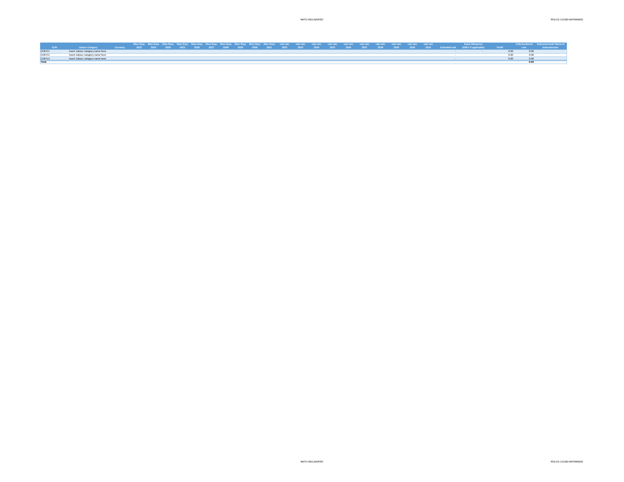|                 |                                                                                                                                                                         |  |  |  |  |  |  |  | Man-Days Man-Days Man-Days Man-Days Man-Days Man-Days Man-Days Man-Days Man-Days Lab-rate Lab-rate Lab-rate Lab-rate Lab-rate Lab-rate Lab-rate Lab-rate Lab-rate Lab-rate Lab-rate Lab-rate Lab-rate Lab-rate Lab-rate Lab-ra |  |  |  | <b>Expat Allowance</b> |  | Fully burdened Subcontracted/Name of |
|-----------------|-------------------------------------------------------------------------------------------------------------------------------------------------------------------------|--|--|--|--|--|--|--|--------------------------------------------------------------------------------------------------------------------------------------------------------------------------------------------------------------------------------|--|--|--|------------------------|--|--------------------------------------|
|                 | 1 LabourCategory - Currency 2022 2023 2024 2025 2026 2027 2028 2029 2030 2031 2022 2023 2024 2025 2026 2027 2028 2029 2030 2031 Extended.cost (ONLYifapplicable) Profit |  |  |  |  |  |  |  |                                                                                                                                                                                                                                |  |  |  |                        |  | Subcontractor                        |
| <b>CLIN 9.1</b> | Insert Labour category name here                                                                                                                                        |  |  |  |  |  |  |  |                                                                                                                                                                                                                                |  |  |  |                        |  |                                      |
| <b>CLIN 9.2</b> | Insert Labour category name here                                                                                                                                        |  |  |  |  |  |  |  |                                                                                                                                                                                                                                |  |  |  |                        |  |                                      |
| <b>CLIN 9.3</b> | Insert Labour category name here                                                                                                                                        |  |  |  |  |  |  |  |                                                                                                                                                                                                                                |  |  |  |                        |  |                                      |
|                 |                                                                                                                                                                         |  |  |  |  |  |  |  |                                                                                                                                                                                                                                |  |  |  |                        |  |                                      |
|                 |                                                                                                                                                                         |  |  |  |  |  |  |  |                                                                                                                                                                                                                                |  |  |  |                        |  |                                      |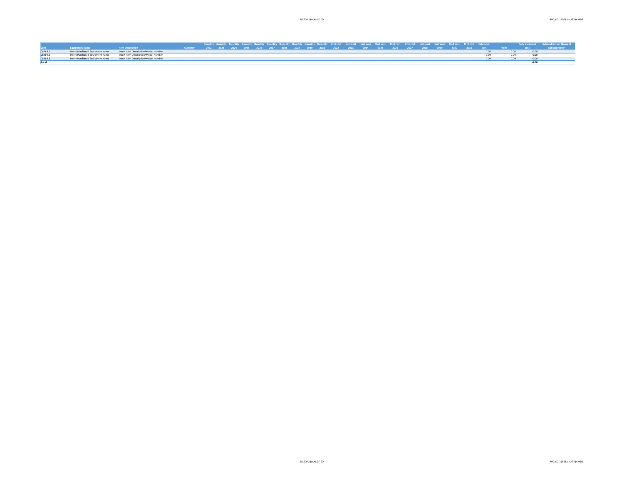|                 |                                 |                                      |                                                                                                                          |  |  |  |  |  |  |  |  |  |  |      |                   | Quantity Quantity Quantity Quantity Quantity Quantity Quantity Quantity Quantity Quantity Quantity Quantity Quantity Quantity Quantity Quantity Quantity Quantity Quantity Quantity Quantity Quantity Quantity Quantity Quanti |  |
|-----------------|---------------------------------|--------------------------------------|--------------------------------------------------------------------------------------------------------------------------|--|--|--|--|--|--|--|--|--|--|------|-------------------|--------------------------------------------------------------------------------------------------------------------------------------------------------------------------------------------------------------------------------|--|
|                 | <b>Equipment Name</b>           | <b>Item Description</b>              | Currency 2022 2023 2024 2025 2026 2027 2028 2029 2030 2031 2022 2023 2024 2025 2026 2027 2028 2029 2030 2031 cost Profit |  |  |  |  |  |  |  |  |  |  |      | <b>CONTRACTOR</b> |                                                                                                                                                                                                                                |  |
| <b>CLIN 9.1</b> | Insert Purchased Equipment name | Insert Item Description/Model number |                                                                                                                          |  |  |  |  |  |  |  |  |  |  | 0.00 |                   |                                                                                                                                                                                                                                |  |
| CLIN 9.2        | Insert Purchased Equipment name | Insert Item Description/Model number |                                                                                                                          |  |  |  |  |  |  |  |  |  |  |      |                   |                                                                                                                                                                                                                                |  |
| <b>CLIN 9.3</b> | Insert Purchased Equipment name | Insert Item Description/Model number |                                                                                                                          |  |  |  |  |  |  |  |  |  |  | 0.00 |                   |                                                                                                                                                                                                                                |  |
|                 |                                 |                                      |                                                                                                                          |  |  |  |  |  |  |  |  |  |  |      |                   |                                                                                                                                                                                                                                |  |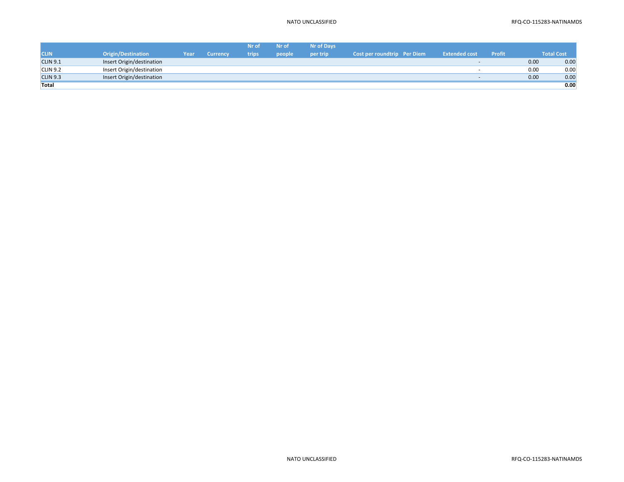|                 |                           |      |                 | Nr of | Nr of  | <b>Nr of Davs</b> |                             |                      |               |      |                   |
|-----------------|---------------------------|------|-----------------|-------|--------|-------------------|-----------------------------|----------------------|---------------|------|-------------------|
| <b>CLIN</b>     | <b>Origin/Destination</b> | Year | <b>Currency</b> | trips | people | per trip          | Cost per roundtrip Per Diem | <b>Extended cost</b> | <b>Profit</b> |      | <b>Total Cost</b> |
| <b>CLIN 9.1</b> | Insert Origin/destination |      |                 |       |        |                   |                             |                      |               | 0.00 | 0.00              |
| CLIN 9.2        | Insert Origin/destination |      |                 |       |        |                   |                             |                      |               | 0.00 | 0.00              |
| <b>CLIN 9.3</b> | Insert Origin/destination |      |                 |       |        |                   |                             | $\sim$               |               | 0.00 | 0.00              |
| Total           |                           |      |                 |       |        |                   |                             |                      |               |      | 0.00              |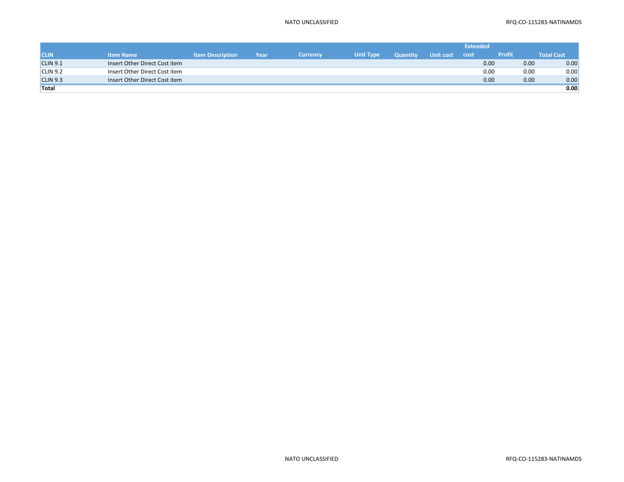|                 |                               |                         |      |                 |                  |                 |           | <b>Extended</b> |        |      |                   |
|-----------------|-------------------------------|-------------------------|------|-----------------|------------------|-----------------|-----------|-----------------|--------|------|-------------------|
| <b>CLIN</b>     | <b>Item Name</b>              | <b>Item Description</b> | Year | <b>Currency</b> | <b>Unit Type</b> | <b>Quantity</b> | Unit cost | cost            | Profit |      | <b>Total Cost</b> |
| <b>CLIN 9.1</b> | Insert Other Direct Cost item |                         |      |                 |                  |                 |           |                 | 0.00   | 0.00 | 0.00              |
| <b>CLIN 9.2</b> | Insert Other Direct Cost item |                         |      |                 |                  |                 |           |                 | 0.00   | 0.00 | 0.00              |
| <b>CLIN 9.3</b> | Insert Other Direct Cost item |                         |      |                 |                  |                 |           |                 | 0.00   | 0.00 | 0.00              |
| Total           |                               |                         |      |                 |                  |                 |           |                 |        |      | 0.00              |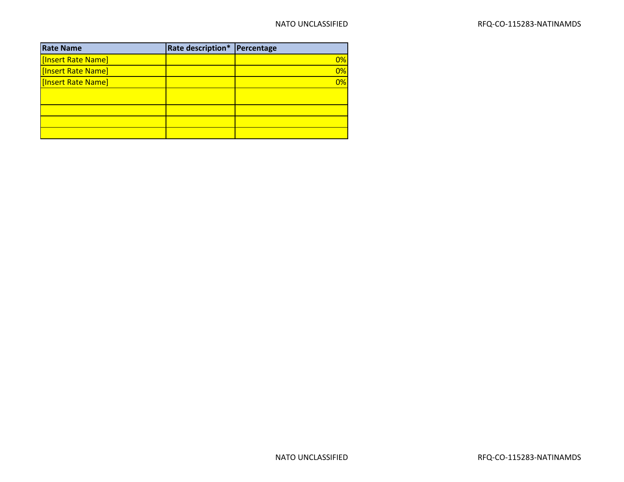| <b>Rate Name</b>   | Rate description* Percentage |    |
|--------------------|------------------------------|----|
| [Insert Rate Name] |                              | 0% |
| [Insert Rate Name] |                              | 0% |
| [Insert Rate Name] |                              | 0% |
|                    |                              |    |
|                    |                              |    |
|                    |                              |    |
|                    |                              |    |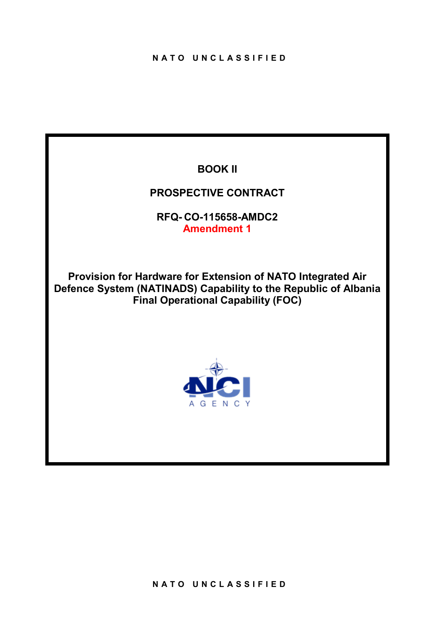# **BOOK II**

# **PROSPECTIVE CONTRACT**

**RFQ- CO-115658-AMDC2 Amendment 1**

**Provision for Hardware for Extension of NATO Integrated Air Defence System (NATINADS) Capability to the Republic of Albania Final Operational Capability (FOC)**

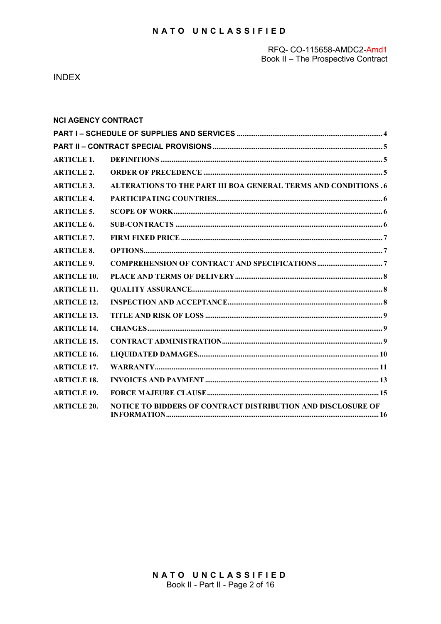#### RFQ- CO-115658-AMDC2-Amd1 Book II - The Prospective Contract

**INDEX** 

| <b>NCI AGENCY CONTRACT</b> |                                                                 |  |
|----------------------------|-----------------------------------------------------------------|--|
|                            |                                                                 |  |
|                            |                                                                 |  |
| <b>ARTICLE 1.</b>          |                                                                 |  |
| <b>ARTICLE 2.</b>          |                                                                 |  |
| <b>ARTICLE 3.</b>          | ALTERATIONS TO THE PART III BOA GENERAL TERMS AND CONDITIONS .6 |  |
| <b>ARTICLE 4.</b>          |                                                                 |  |
| <b>ARTICLE 5.</b>          |                                                                 |  |
| <b>ARTICLE 6.</b>          |                                                                 |  |
| <b>ARTICLE 7.</b>          |                                                                 |  |
| <b>ARTICLE 8.</b>          |                                                                 |  |
| <b>ARTICLE 9.</b>          |                                                                 |  |
| <b>ARTICLE 10.</b>         |                                                                 |  |
| <b>ARTICLE 11.</b>         |                                                                 |  |
| <b>ARTICLE 12.</b>         |                                                                 |  |
| <b>ARTICLE 13.</b>         |                                                                 |  |
| <b>ARTICLE 14.</b>         |                                                                 |  |
| <b>ARTICLE 15.</b>         |                                                                 |  |
| <b>ARTICLE 16.</b>         |                                                                 |  |
| <b>ARTICLE 17.</b>         |                                                                 |  |
| <b>ARTICLE 18.</b>         |                                                                 |  |
| <b>ARTICLE 19.</b>         |                                                                 |  |
| <b>ARTICLE 20.</b>         | NOTICE TO BIDDERS OF CONTRACT DISTRIBUTION AND DISCLOSURE OF    |  |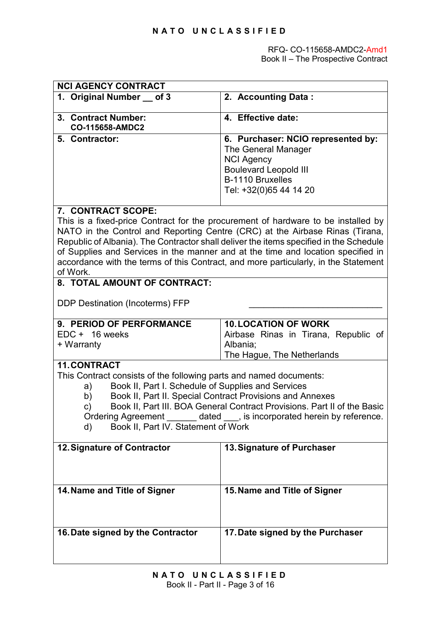<span id="page-19-0"></span>

| <b>NCI AGENCY CONTRACT</b>                                                                                                                                                                                                                                                                                                                                                                                                                                   |                                                                                                                                                                                                                                                                                                                                                                                                                                        |  |  |  |  |  |  |  |  |  |
|--------------------------------------------------------------------------------------------------------------------------------------------------------------------------------------------------------------------------------------------------------------------------------------------------------------------------------------------------------------------------------------------------------------------------------------------------------------|----------------------------------------------------------------------------------------------------------------------------------------------------------------------------------------------------------------------------------------------------------------------------------------------------------------------------------------------------------------------------------------------------------------------------------------|--|--|--|--|--|--|--|--|--|
| 1. Original Number of 3                                                                                                                                                                                                                                                                                                                                                                                                                                      | 2. Accounting Data:                                                                                                                                                                                                                                                                                                                                                                                                                    |  |  |  |  |  |  |  |  |  |
| 3. Contract Number:<br><b>CO-115658-AMDC2</b>                                                                                                                                                                                                                                                                                                                                                                                                                | 4. Effective date:                                                                                                                                                                                                                                                                                                                                                                                                                     |  |  |  |  |  |  |  |  |  |
| 5. Contractor:                                                                                                                                                                                                                                                                                                                                                                                                                                               | 6. Purchaser: NCIO represented by:<br>The General Manager<br><b>NCI Agency</b><br><b>Boulevard Leopold III</b><br>B-1110 Bruxelles<br>Tel: +32(0)65 44 14 20                                                                                                                                                                                                                                                                           |  |  |  |  |  |  |  |  |  |
| 7. CONTRACT SCOPE:<br>of Work.                                                                                                                                                                                                                                                                                                                                                                                                                               | This is a fixed-price Contract for the procurement of hardware to be installed by<br>NATO in the Control and Reporting Centre (CRC) at the Airbase Rinas (Tirana,<br>Republic of Albania). The Contractor shall deliver the items specified in the Schedule<br>of Supplies and Services in the manner and at the time and location specified in<br>accordance with the terms of this Contract, and more particularly, in the Statement |  |  |  |  |  |  |  |  |  |
| <b>DDP Destination (Incoterms) FFP</b>                                                                                                                                                                                                                                                                                                                                                                                                                       | 8. TOTAL AMOUNT OF CONTRACT:                                                                                                                                                                                                                                                                                                                                                                                                           |  |  |  |  |  |  |  |  |  |
| 9. PERIOD OF PERFORMANCE<br>EDC + 16 weeks<br>+ Warranty                                                                                                                                                                                                                                                                                                                                                                                                     | <b>10. LOCATION OF WORK</b><br>Airbase Rinas in Tirana, Republic of<br>Albania;                                                                                                                                                                                                                                                                                                                                                        |  |  |  |  |  |  |  |  |  |
| The Hague, The Netherlands<br>11. CONTRACT<br>This Contract consists of the following parts and named documents:<br>Book II, Part I. Schedule of Supplies and Services<br>a)<br>Book II, Part II. Special Contract Provisions and Annexes<br>b)<br>Book II, Part III. BOA General Contract Provisions. Part II of the Basic<br>c)<br>Ordering Agreement _______ dated ___, is incorporated herein by reference.<br>Book II, Part IV. Statement of Work<br>d) |                                                                                                                                                                                                                                                                                                                                                                                                                                        |  |  |  |  |  |  |  |  |  |
| 12. Signature of Contractor                                                                                                                                                                                                                                                                                                                                                                                                                                  | 13. Signature of Purchaser                                                                                                                                                                                                                                                                                                                                                                                                             |  |  |  |  |  |  |  |  |  |
| 14. Name and Title of Signer                                                                                                                                                                                                                                                                                                                                                                                                                                 | 15. Name and Title of Signer                                                                                                                                                                                                                                                                                                                                                                                                           |  |  |  |  |  |  |  |  |  |
| 16. Date signed by the Contractor                                                                                                                                                                                                                                                                                                                                                                                                                            | 17. Date signed by the Purchaser                                                                                                                                                                                                                                                                                                                                                                                                       |  |  |  |  |  |  |  |  |  |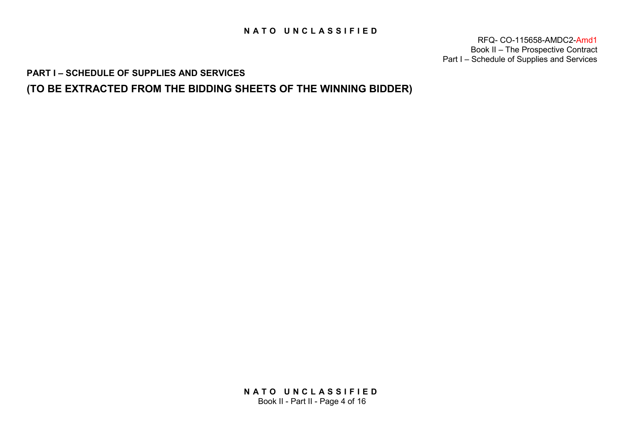RFQ- CO-115658-AMDC2-Amd1 Book II – The Prospective Contract Part I – Schedule of Supplies and Services

<span id="page-20-0"></span>**PART I – SCHEDULE OF SUPPLIES AND SERVICES** 

<span id="page-20-1"></span>**(TO BE EXTRACTED FROM THE BIDDING SHEETS OF THE WINNING BIDDER)**

<span id="page-20-2"></span>**NATO UNCLASSIFIED** Book II - Part II - Page 4 of 16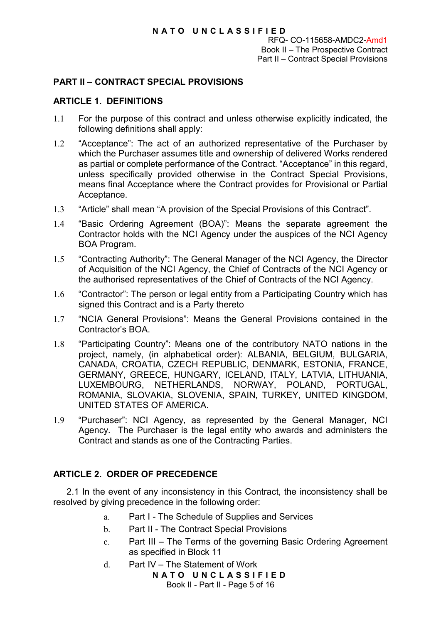RFQ- CO-115658-AMDC2-Amd1 Book II – The Prospective Contract Part II – Contract Special Provisions

# <span id="page-21-0"></span>**PART II – CONTRACT SPECIAL PROVISIONS**

# **ARTICLE 1. DEFINITIONS**

- 1.1 For the purpose of this contract and unless otherwise explicitly indicated, the following definitions shall apply:
- 1.2 "Acceptance": The act of an authorized representative of the Purchaser by which the Purchaser assumes title and ownership of delivered Works rendered as partial or complete performance of the Contract. "Acceptance" in this regard, unless specifically provided otherwise in the Contract Special Provisions, means final Acceptance where the Contract provides for Provisional or Partial Acceptance.
- 1.3 "Article" shall mean "A provision of the Special Provisions of this Contract".
- 1.4 "Basic Ordering Agreement (BOA)": Means the separate agreement the Contractor holds with the NCI Agency under the auspices of the NCI Agency BOA Program.
- 1.5 "Contracting Authority": The General Manager of the NCI Agency, the Director of Acquisition of the NCI Agency, the Chief of Contracts of the NCI Agency or the authorised representatives of the Chief of Contracts of the NCI Agency.
- <span id="page-21-1"></span>1.6 "Contractor": The person or legal entity from a Participating Country which has signed this Contract and is a Party thereto
- 1.7 "NCIA General Provisions": Means the General Provisions contained in the Contractor's BOA.
- <span id="page-21-2"></span>1.8 "Participating Country": Means one of the contributory NATO nations in the project, namely, (in alphabetical order): ALBANIA, BELGIUM, BULGARIA, CANADA, CROATIA, CZECH REPUBLIC, DENMARK, ESTONIA, FRANCE, GERMANY, GREECE, HUNGARY, ICELAND, ITALY, LATVIA, LITHUANIA, LUXEMBOURG, NETHERLANDS, NORWAY, POLAND, PORTUGAL, ROMANIA, SLOVAKIA, SLOVENIA, SPAIN, TURKEY, UNITED KINGDOM, UNITED STATES OF AMERICA.
- 1.9 "Purchaser": NCI Agency, as represented by the General Manager, NCI Agency. The Purchaser is the legal entity who awards and administers the Contract and stands as one of the Contracting Parties.

# <span id="page-21-3"></span>**ARTICLE 2. ORDER OF PRECEDENCE**

2.1 In the event of any inconsistency in this Contract, the inconsistency shall be resolved by giving precedence in the following order:

- a. Part I The Schedule of Supplies and Services
- b. Part II The Contract Special Provisions
- c. Part III The Terms of the governing Basic Ordering Agreement as specified in Block 11
- d. Part IV The Statement of Work

**NATO UNCLASSIFIED** Book II - Part II - Page 5 of 16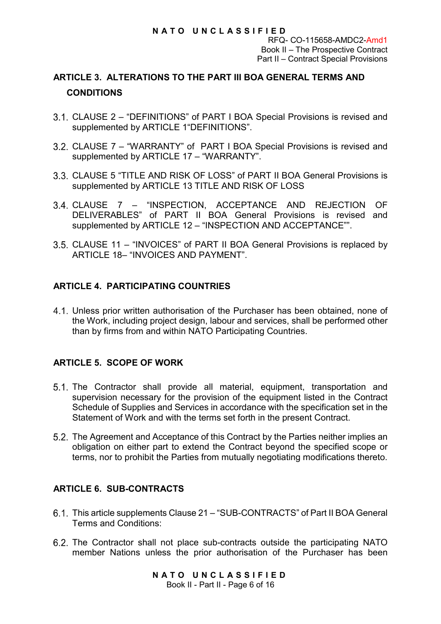RFQ- CO-115658-AMDC2-Amd1 Book II – The Prospective Contract Part II – Contract Special Provisions

# **ARTICLE 3. ALTERATIONS TO THE PART III BOA GENERAL TERMS AND CONDITIONS**

- <span id="page-22-0"></span>CLAUSE 2 – "DEFINITIONS" of PART I BOA Special Provisions is revised and supplemented by [ARTICLE 1"](#page-20-1)DEFINITIONS".
- CLAUSE 7 "WARRANTY" of PART I BOA Special Provisions is revised and supplemented by [ARTICLE 17](#page-26-0) - "WARRANTY".
- CLAUSE 5 "TITLE AND RISK OF LOSS" of PART II BOA General Provisions is supplemented by [ARTICLE 13](#page-24-0) TITLE AND RISK OF LOSS
- CLAUSE 7 "INSPECTION, ACCEPTANCE AND REJECTION OF DELIVERABLES" of PART II BOA General Provisions is revised and supplemented by [ARTICLE 12](#page-23-2) – "INSPECTION AND ACCEPTANCE"".
- <span id="page-22-1"></span>CLAUSE 11 – "INVOICES" of PART II BOA General Provisions is replaced by [ARTICLE 18–](#page-28-0) "INVOICES AND PAYMENT".

# **ARTICLE 4. PARTICIPATING COUNTRIES**

Unless prior written authorisation of the Purchaser has been obtained, none of the Work, including project design, labour and services, shall be performed other than by firms from and within NATO Participating Countries.

# **ARTICLE 5. SCOPE OF WORK**

- 5.1. The Contractor shall provide all material, equipment, transportation and supervision necessary for the provision of the equipment listed in the Contract Schedule of Supplies and Services in accordance with the specification set in the Statement of Work and with the terms set forth in the present Contract.
- <span id="page-22-2"></span>5.2. The Agreement and Acceptance of this Contract by the Parties neither implies an obligation on either part to extend the Contract beyond the specified scope or terms, nor to prohibit the Parties from mutually negotiating modifications thereto.

# **ARTICLE 6. SUB-CONTRACTS**

- 6.1. This article supplements Clause 21 "SUB-CONTRACTS" of Part II BOA General Terms and Conditions:
- The Contractor shall not place sub-contracts outside the participating NATO member Nations unless the prior authorisation of the Purchaser has been

**NATO UNCLASSIFIED** Book II - Part II - Page 6 of 16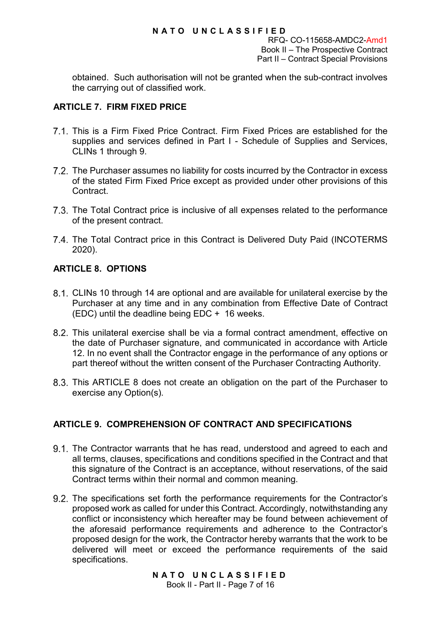RFQ- CO-115658-AMDC2-Amd1 Book II – The Prospective Contract Part II – Contract Special Provisions

obtained. Such authorisation will not be granted when the sub-contract involves the carrying out of classified work.

# **ARTICLE 7. FIRM FIXED PRICE**

- This is a Firm Fixed Price Contract. Firm Fixed Prices are established for the supplies and services defined in Part I - Schedule of Supplies and Services, CLINs 1 through 9.
- 7.2. The Purchaser assumes no liability for costs incurred by the Contractor in excess of the stated Firm Fixed Price except as provided under other provisions of this Contract.
- 7.3. The Total Contract price is inclusive of all expenses related to the performance of the present contract.
- 7.4. The Total Contract price in this Contract is Delivered Duty Paid (INCOTERMS 2020).

# <span id="page-23-0"></span>**ARTICLE 8. OPTIONS**

- CLINs 10 through 14 are optional and are available for unilateral exercise by the Purchaser at any time and in any combination from Effective Date of Contract (EDC) until the deadline being EDC + 16 weeks.
- <span id="page-23-1"></span>This unilateral exercise shall be via a formal contract amendment, effective on the date of Purchaser signature, and communicated in accordance with Article 12. In no event shall the Contractor engage in the performance of any options or part thereof without the written consent of the Purchaser Contracting Authority.
- This [ARTICLE 8](#page-22-1) does not create an obligation on the part of the Purchaser to exercise any Option(s).

# <span id="page-23-2"></span>**ARTICLE 9. COMPREHENSION OF CONTRACT AND SPECIFICATIONS**

- 9.1. The Contractor warrants that he has read, understood and agreed to each and all terms, clauses, specifications and conditions specified in the Contract and that this signature of the Contract is an acceptance, without reservations, of the said Contract terms within their normal and common meaning.
- 9.2. The specifications set forth the performance requirements for the Contractor's proposed work as called for under this Contract. Accordingly, notwithstanding any conflict or inconsistency which hereafter may be found between achievement of the aforesaid performance requirements and adherence to the Contractor's proposed design for the work, the Contractor hereby warrants that the work to be delivered will meet or exceed the performance requirements of the said specifications.

**NATO UNCLASSIFIED** Book II - Part II - Page 7 of 16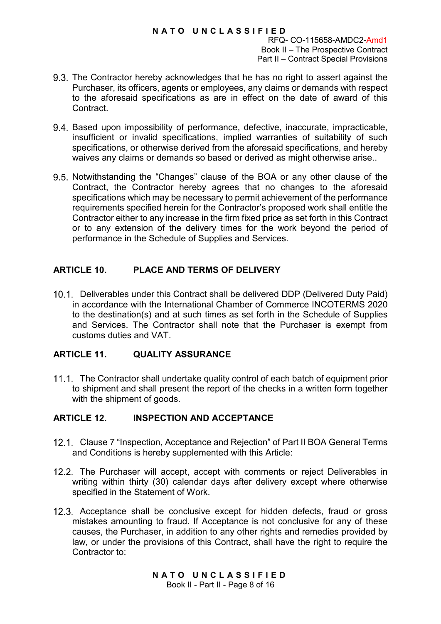RFQ- CO-115658-AMDC2-Amd1 Book II – The Prospective Contract Part II – Contract Special Provisions

- The Contractor hereby acknowledges that he has no right to assert against the Purchaser, its officers, agents or employees, any claims or demands with respect to the aforesaid specifications as are in effect on the date of award of this **Contract**
- Based upon impossibility of performance, defective, inaccurate, impracticable, insufficient or invalid specifications, implied warranties of suitability of such specifications, or otherwise derived from the aforesaid specifications, and hereby waives any claims or demands so based or derived as might otherwise arise..
- <span id="page-24-0"></span>9.5. Notwithstanding the "Changes" clause of the BOA or any other clause of the Contract, the Contractor hereby agrees that no changes to the aforesaid specifications which may be necessary to permit achievement of the performance requirements specified herein for the Contractor's proposed work shall entitle the Contractor either to any increase in the firm fixed price as set forth in this Contract or to any extension of the delivery times for the work beyond the period of performance in the Schedule of Supplies and Services.

# **ARTICLE 10. PLACE AND TERMS OF DELIVERY**

<span id="page-24-1"></span>Deliverables under this Contract shall be delivered DDP (Delivered Duty Paid) in accordance with the International Chamber of Commerce INCOTERMS 2020 to the destination(s) and at such times as set forth in the Schedule of Supplies and Services. The Contractor shall note that the Purchaser is exempt from customs duties and VAT.

# **ARTICLE 11. QUALITY ASSURANCE**

11.1. The Contractor shall undertake quality control of each batch of equipment prior to shipment and shall present the report of the checks in a written form together with the shipment of goods.

# **ARTICLE 12. INSPECTION AND ACCEPTANCE**

- <span id="page-24-2"></span>Clause 7 "Inspection, Acceptance and Rejection" of Part II BOA General Terms and Conditions is hereby supplemented with this Article:
- 12.2. The Purchaser will accept, accept with comments or reject Deliverables in writing within thirty (30) calendar days after delivery except where otherwise specified in the Statement of Work.
- 12.3. Acceptance shall be conclusive except for hidden defects, fraud or gross mistakes amounting to fraud. If Acceptance is not conclusive for any of these causes, the Purchaser, in addition to any other rights and remedies provided by law, or under the provisions of this Contract, shall have the right to require the Contractor to: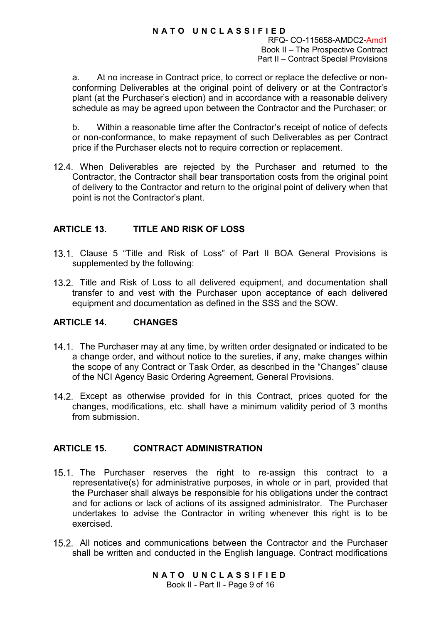RFQ- CO-115658-AMDC2-Amd1 Book II – The Prospective Contract Part II – Contract Special Provisions

a. At no increase in Contract price, to correct or replace the defective or nonconforming Deliverables at the original point of delivery or at the Contractor's plant (at the Purchaser's election) and in accordance with a reasonable delivery schedule as may be agreed upon between the Contractor and the Purchaser; or

b. Within a reasonable time after the Contractor's receipt of notice of defects or non-conformance, to make repayment of such Deliverables as per Contract price if the Purchaser elects not to require correction or replacement.

12.4. When Deliverables are rejected by the Purchaser and returned to the Contractor, the Contractor shall bear transportation costs from the original point of delivery to the Contractor and return to the original point of delivery when that point is not the Contractor's plant.

# **ARTICLE 13. TITLE AND RISK OF LOSS**

- Clause 5 "Title and Risk of Loss" of Part II BOA General Provisions is supplemented by the following:
- 13.2. Title and Risk of Loss to all delivered equipment, and documentation shall transfer to and vest with the Purchaser upon acceptance of each delivered equipment and documentation as defined in the SSS and the SOW.

# **ARTICLE 14. CHANGES**

- 14.1. The Purchaser may at any time, by written order designated or indicated to be a change order, and without notice to the sureties, if any, make changes within the scope of any Contract or Task Order, as described in the "Changes" clause of the NCI Agency Basic Ordering Agreement, General Provisions.
- Except as otherwise provided for in this Contract, prices quoted for the changes, modifications, etc. shall have a minimum validity period of 3 months from submission.

# **ARTICLE 15. CONTRACT ADMINISTRATION**

- <span id="page-25-0"></span>15.1. The Purchaser reserves the right to re-assign this contract to a representative(s) for administrative purposes, in whole or in part, provided that the Purchaser shall always be responsible for his obligations under the contract and for actions or lack of actions of its assigned administrator. The Purchaser undertakes to advise the Contractor in writing whenever this right is to be exercised.
- <span id="page-25-1"></span>All notices and communications between the Contractor and the Purchaser shall be written and conducted in the English language. Contract modifications

**NATO UNCLASSIFIED** Book II - Part II - Page 9 of 16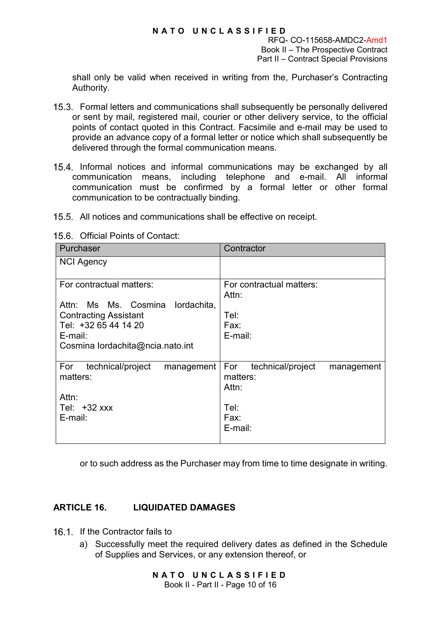RFQ- CO-115658-AMDC2-Amd1 Book II – The Prospective Contract Part II – Contract Special Provisions

shall only be valid when received in writing from the, Purchaser's Contracting Authority.

- <span id="page-26-1"></span>Formal letters and communications shall subsequently be personally delivered or sent by mail, registered mail, courier or other delivery service, to the official points of contact quoted in this Contract. Facsimile and e-mail may be used to provide an advance copy of a formal letter or notice which shall subsequently be delivered through the formal communication means.
- 15.4. Informal notices and informal communications may be exchanged by all communication means, including telephone and e-mail. All informal communication must be confirmed by a formal letter or other formal communication to be contractually binding.
- 15.5. All notices and communications shall be effective on receipt.

|  | 15.6. Official Points of Contact: |
|--|-----------------------------------|
|--|-----------------------------------|

| Purchaser                              | Contractor                             |
|----------------------------------------|----------------------------------------|
| <b>NCI Agency</b>                      |                                        |
| For contractual matters:               | For contractual matters:<br>Attn:      |
| Attn: Ms Ms. Cosmina lordachita,       |                                        |
| <b>Contracting Assistant</b>           | Tel:                                   |
| Tel: +32 65 44 14 20<br>E-mail:        | Fax:<br>E-mail:                        |
| Cosmina lordachita@ncia.nato.int       |                                        |
|                                        |                                        |
| technical/project<br>For<br>management | For<br>technical/project<br>management |
| matters:                               | matters:                               |
|                                        | Attn:                                  |
| Attn:                                  |                                        |
| Tel: $+32$ xxx                         | Tel:                                   |
| E-mail:                                | Fax:<br>E-mail:                        |
|                                        |                                        |

or to such address as the Purchaser may from time to time designate in writing.

# <span id="page-26-0"></span>**ARTICLE 16. LIQUIDATED DAMAGES**

- 16.1. If the Contractor fails to
	- a) Successfully meet the required delivery dates as defined in the Schedule of Supplies and Services, or any extension thereof, or

**NATO UNCLASSIFIED** Book II - Part II - Page 10 of 16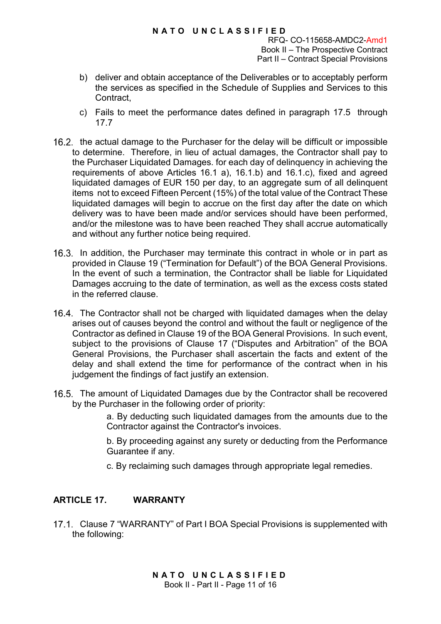RFQ- CO-115658-AMDC2-Amd1 Book II – The Prospective Contract Part II – Contract Special Provisions

- <span id="page-27-2"></span>b) deliver and obtain acceptance of the Deliverables or to acceptably perform the services as specified in the Schedule of Supplies and Services to this Contract,
- c) Fails to meet the performance dates defined in paragraph [17.5](#page-27-0) through [17.7](#page-27-1)
- 16.2. the actual damage to the Purchaser for the delay will be difficult or impossible to determine. Therefore, in lieu of actual damages, the Contractor shall pay to the Purchaser Liquidated Damages. for each day of delinquency in achieving the requirements of above Articles [16.1](#page-25-1) a), [16.1.](#page-25-1)b) and [16.1.](#page-25-1)[c\),](#page-26-1) fixed and agreed liquidated damages of EUR 150 per day, to an aggregate sum of all delinquent items not to exceed Fifteen Percent (15%) of the total value of the Contract These liquidated damages will begin to accrue on the first day after the date on which delivery was to have been made and/or services should have been performed, and/or the milestone was to have been reached They shall accrue automatically and without any further notice being required.
- <span id="page-27-0"></span>16.3. In addition, the Purchaser may terminate this contract in whole or in part as provided in Clause 19 ("Termination for Default") of the BOA General Provisions. In the event of such a termination, the Contractor shall be liable for Liquidated Damages accruing to the date of termination, as well as the excess costs stated in the referred clause.
- 16.4. The Contractor shall not be charged with liquidated damages when the delay arises out of causes beyond the control and without the fault or negligence of the Contractor as defined in Clause 19 of the BOA General Provisions. In such event, subject to the provisions of Clause 17 ("Disputes and Arbitration" of the BOA General Provisions, the Purchaser shall ascertain the facts and extent of the delay and shall extend the time for performance of the contract when in his judgement the findings of fact justify an extension.
- <span id="page-27-1"></span>16.5. The amount of Liquidated Damages due by the Contractor shall be recovered by the Purchaser in the following order of priority:

a. By deducting such liquidated damages from the amounts due to the Contractor against the Contractor's invoices.

b. By proceeding against any surety or deducting from the Performance Guarantee if any.

c. By reclaiming such damages through appropriate legal remedies.

# **ARTICLE 17. WARRANTY**

17.1. Clause 7 "WARRANTY" of Part I BOA Special Provisions is supplemented with the following: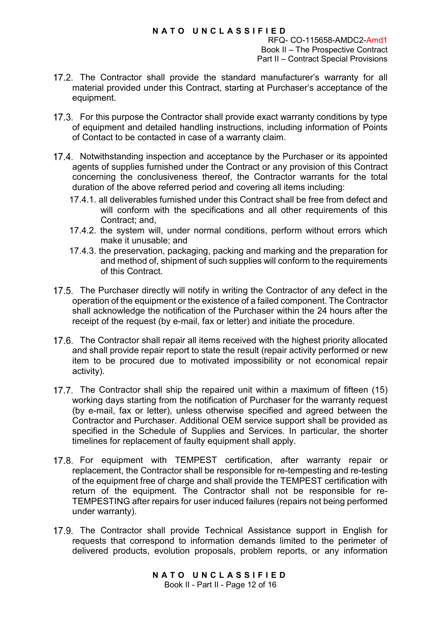RFQ- CO-115658-AMDC2-Amd1 Book II – The Prospective Contract Part II – Contract Special Provisions

- 17.2. The Contractor shall provide the standard manufacturer's warranty for all material provided under this Contract, starting at Purchaser's acceptance of the equipment.
- 17.3. For this purpose the Contractor shall provide exact warranty conditions by type of equipment and detailed handling instructions, including information of Points of Contact to be contacted in case of a warranty claim.
- 17.4. Notwithstanding inspection and acceptance by the Purchaser or its appointed agents of supplies furnished under the Contract or any provision of this Contract concerning the conclusiveness thereof, the Contractor warrants for the total duration of the above referred period and covering all items including:
	- 17.4.1. all deliverables furnished under this Contract shall be free from defect and will conform with the specifications and all other requirements of this Contract; and,
	- 17.4.2. the system will, under normal conditions, perform without errors which make it unusable; and
	- 17.4.3. the preservation, packaging, packing and marking and the preparation for and method of, shipment of such supplies will conform to the requirements of this Contract.
- 17.5. The Purchaser directly will notify in writing the Contractor of any defect in the operation of the equipment or the existence of a failed component. The Contractor shall acknowledge the notification of the Purchaser within the 24 hours after the receipt of the request (by e-mail, fax or letter) and initiate the procedure.
- 17.6. The Contractor shall repair all items received with the highest priority allocated and shall provide repair report to state the result (repair activity performed or new item to be procured due to motivated impossibility or not economical repair activity).
- <span id="page-28-0"></span>17.7. The Contractor shall ship the repaired unit within a maximum of fifteen (15) working days starting from the notification of Purchaser for the warranty request (by e-mail, fax or letter), unless otherwise specified and agreed between the Contractor and Purchaser. Additional OEM service support shall be provided as specified in the Schedule of Supplies and Services. In particular, the shorter timelines for replacement of faulty equipment shall apply.
- 17.8. For equipment with TEMPEST certification, after warranty repair or replacement, the Contractor shall be responsible for re-tempesting and re-testing of the equipment free of charge and shall provide the TEMPEST certification with return of the equipment. The Contractor shall not be responsible for re-TEMPESTING after repairs for user induced failures (repairs not being performed under warranty).
- 17.9. The Contractor shall provide Technical Assistance support in English for requests that correspond to information demands limited to the perimeter of delivered products, evolution proposals, problem reports, or any information

**NATO UNCLASSIFIED** Book II - Part II - Page 12 of 16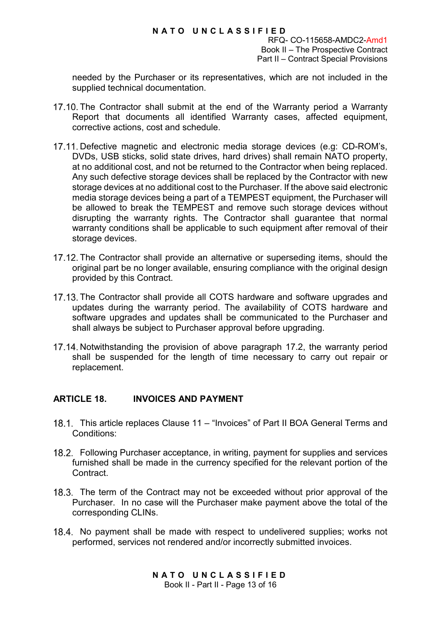RFQ- CO-115658-AMDC2-Amd1 Book II – The Prospective Contract Part II – Contract Special Provisions

needed by the Purchaser or its representatives, which are not included in the supplied technical documentation.

- 17.10. The Contractor shall submit at the end of the Warranty period a Warranty Report that documents all identified Warranty cases, affected equipment, corrective actions, cost and schedule.
- 17.11. Defective magnetic and electronic media storage devices (e.g: CD-ROM's, DVDs, USB sticks, solid state drives, hard drives) shall remain NATO property, at no additional cost, and not be returned to the Contractor when being replaced. Any such defective storage devices shall be replaced by the Contractor with new storage devices at no additional cost to the Purchaser. If the above said electronic media storage devices being a part of a TEMPEST equipment, the Purchaser will be allowed to break the TEMPEST and remove such storage devices without disrupting the warranty rights. The Contractor shall guarantee that normal warranty conditions shall be applicable to such equipment after removal of their storage devices.
- 17.12. The Contractor shall provide an alternative or superseding items, should the original part be no longer available, ensuring compliance with the original design provided by this Contract.
- 17.13. The Contractor shall provide all COTS hardware and software upgrades and updates during the warranty period. The availability of COTS hardware and software upgrades and updates shall be communicated to the Purchaser and shall always be subject to Purchaser approval before upgrading.
- 17.14. Notwithstanding the provision of above paragraph [17.2,](#page-27-2) the warranty period shall be suspended for the length of time necessary to carry out repair or replacement.

# **ARTICLE 18. INVOICES AND PAYMENT**

- 18.1. This article replaces Clause 11 "Invoices" of Part II BOA General Terms and Conditions:
- Following Purchaser acceptance, in writing, payment for supplies and services furnished shall be made in the currency specified for the relevant portion of the Contract.
- 18.3. The term of the Contract may not be exceeded without prior approval of the Purchaser. In no case will the Purchaser make payment above the total of the corresponding CLINs.
- 18.4. No payment shall be made with respect to undelivered supplies; works not performed, services not rendered and/or incorrectly submitted invoices.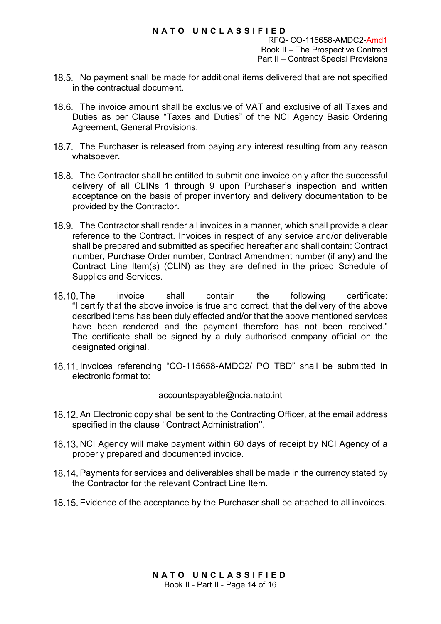RFQ- CO-115658-AMDC2-Amd1 Book II – The Prospective Contract Part II – Contract Special Provisions

- <span id="page-30-0"></span>18.5. No payment shall be made for additional items delivered that are not specified in the contractual document.
- 18.6. The invoice amount shall be exclusive of VAT and exclusive of all Taxes and Duties as per Clause "Taxes and Duties" of the NCI Agency Basic Ordering Agreement, General Provisions.
- 18.7. The Purchaser is released from paying any interest resulting from any reason whatsoever.
- 18.8. The Contractor shall be entitled to submit one invoice only after the successful delivery of all CLINs 1 through 9 upon Purchaser's inspection and written acceptance on the basis of proper inventory and delivery documentation to be provided by the Contractor.
- The Contractor shall render all invoices in a manner, which shall provide a clear reference to the Contract. Invoices in respect of any service and/or deliverable shall be prepared and submitted as specified hereafter and shall contain: Contract number, Purchase Order number, Contract Amendment number (if any) and the Contract Line Item(s) (CLIN) as they are defined in the priced Schedule of Supplies and Services.
- 18.10. The invoice shall contain the following certificate: "I certify that the above invoice is true and correct, that the delivery of the above described items has been duly effected and/or that the above mentioned services have been rendered and the payment therefore has not been received." The certificate shall be signed by a duly authorised company official on the designated original.
- 18.11. Invoices referencing "CO-115658-AMDC2/ PO TBD" shall be submitted in electronic format to:

#### [accountspayable@ncia.nato.int](mailto:accountspayable@ncia.nato.int)

- 18.12. An Electronic copy shall be sent to the Contracting Officer, at the email address specified in the clause ''Contract Administration''.
- 18.13. NCI Agency will make payment within 60 days of receipt by NCI Agency of a properly prepared and documented invoice.
- 18.14. Payments for services and deliverables shall be made in the currency stated by the Contractor for the relevant Contract Line Item.
- Evidence of the acceptance by the Purchaser shall be attached to all invoices.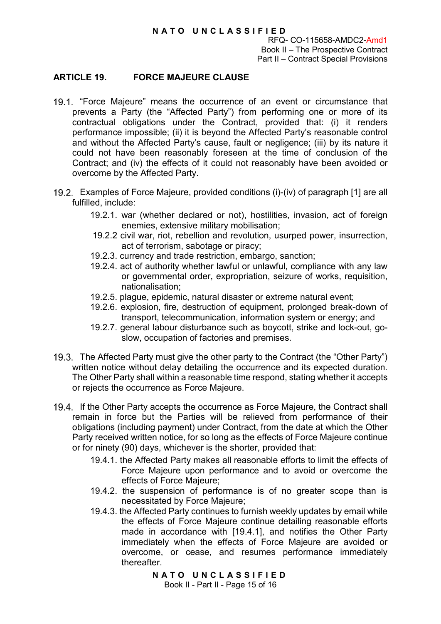RFQ- CO-115658-AMDC2-Amd1 Book II – The Prospective Contract Part II – Contract Special Provisions

## **ARTICLE 19. FORCE MAJEURE CLAUSE**

- 19.1. "Force Majeure" means the occurrence of an event or circumstance that prevents a Party (the "Affected Party") from performing one or more of its contractual obligations under the Contract, provided that: (i) it renders performance impossible; (ii) it is beyond the Affected Party's reasonable control and without the Affected Party's cause, fault or negligence; (iii) by its nature it could not have been reasonably foreseen at the time of conclusion of the Contract; and (iv) the effects of it could not reasonably have been avoided or overcome by the Affected Party.
- <span id="page-31-0"></span>Examples of Force Majeure, provided conditions (i)-(iv) of paragraph [1] are all fulfilled, include:
	- 19.2.1. war (whether declared or not), hostilities, invasion, act of foreign enemies, extensive military mobilisation;
	- 19.2.2 civil war, riot, rebellion and revolution, usurped power, insurrection, act of terrorism, sabotage or piracy;
	- 19.2.3. currency and trade restriction, embargo, sanction;
	- 19.2.4. act of authority whether lawful or unlawful, compliance with any law or governmental order, expropriation, seizure of works, requisition, nationalisation;
	- 19.2.5. plague, epidemic, natural disaster or extreme natural event;
	- 19.2.6. explosion, fire, destruction of equipment, prolonged break-down of transport, telecommunication, information system or energy; and
	- 19.2.7. general labour disturbance such as boycott, strike and lock-out, goslow, occupation of factories and premises.
- 19.3. The Affected Party must give the other party to the Contract (the "Other Party") written notice without delay detailing the occurrence and its expected duration. The Other Party shall within a reasonable time respond, stating whether it accepts or rejects the occurrence as Force Majeure.
- 19.4. If the Other Party accepts the occurrence as Force Majeure, the Contract shall remain in force but the Parties will be relieved from performance of their obligations (including payment) under Contract, from the date at which the Other Party received written notice, for so long as the effects of Force Majeure continue or for ninety (90) days, whichever is the shorter, provided that:
	- 19.4.1. the Affected Party makes all reasonable efforts to limit the effects of Force Majeure upon performance and to avoid or overcome the effects of Force Majeure;
	- 19.4.2. the suspension of performance is of no greater scope than is necessitated by Force Majeure;
	- 19.4.3. the Affected Party continues to furnish weekly updates by email while the effects of Force Majeure continue detailing reasonable efforts made in accordance with [19.4.1], and notifies the Other Party immediately when the effects of Force Majeure are avoided or overcome, or cease, and resumes performance immediately thereafter.

**NATO UNCLASSIFIED** Book II - Part II - Page 15 of 16